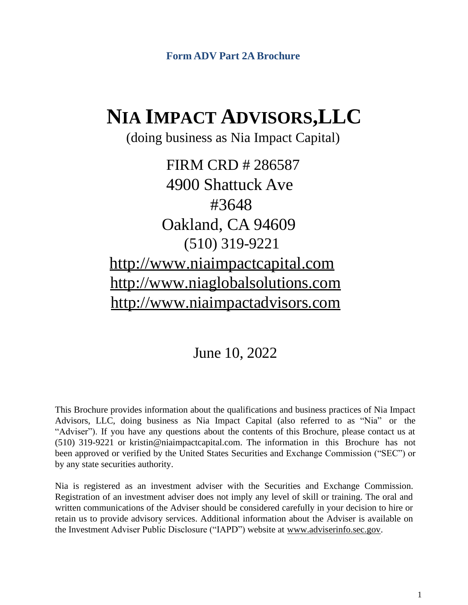**Form ADV Part 2A Brochure**

# **NIA IMPACT ADVISORS,LLC**

(doing business as Nia Impact Capital)

FIRM CRD # 286587 4900 Shattuck Ave #3648 Oakland, CA 94609 (510) 319-9221 [http://www.niaimpactcapital.com](http://www.niaimpactcapital.com/) [http://www.niaglobalsolutions.com](http://www.niaglobalsolutions.com/) [http://www.niaimpactadvisors.com](http://www.niaimpactadvisors.com/)

# June 10, 2022

This Brochure provides information about the qualifications and business practices of Nia Impact Advisors, LLC, doing business as Nia Impact Capital (also referred to as "Nia" or the "Adviser"). If you have any questions about the contents of this Brochure, please contact us at (510) 319-9221 or [kristin@niaimpactcapital.com.](mailto:kristin@niaimpactcapital.com) The information in this Brochure has not been approved or verified by the United States Securities and Exchange Commission ("SEC") or by any state securities authority.

Nia is registered as an investment adviser with the Securities and Exchange Commission. Registration of an investment adviser does not imply any level of skill or training. The oral and written communications of the Adviser should be considered carefully in your decision to hire or retain us to provide advisory services. Additional information about the Adviser is available on the Investment Adviser Public Disclosure ("IAPD") website at [www.adviserinfo.sec.gov.](http://www.adviserinfo.sec.gov/)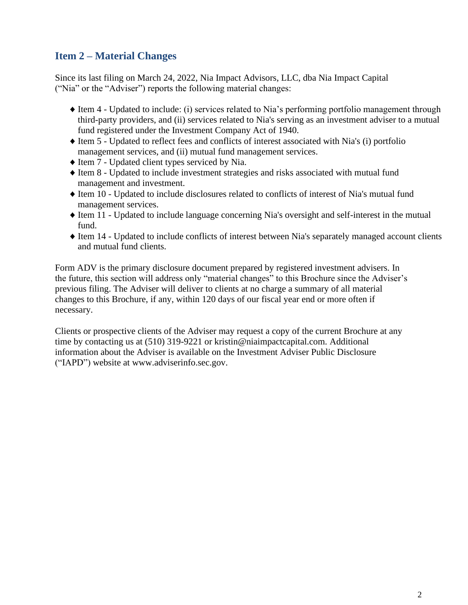# <span id="page-1-0"></span>**Item 2 – Material Changes**

Since its last filing on March 24, 2022, Nia Impact Advisors, LLC, dba Nia Impact Capital ("Nia" or the "Adviser") reports the following material changes:

- ♦ Item 4 Updated to include: (i) services related to Nia's performing portfolio management through third-party providers, and (ii) services related to Nia's serving as an investment adviser to a mutual fund registered under the Investment Company Act of 1940.
- ♦ Item 5 Updated to reflect fees and conflicts of interest associated with Nia's (i) portfolio management services, and (ii) mutual fund management services.
- ♦ Item 7 Updated client types serviced by Nia.
- ♦ Item 8 Updated to include investment strategies and risks associated with mutual fund management and investment.
- ♦ Item 10 Updated to include disclosures related to conflicts of interest of Nia's mutual fund management services.
- ♦ Item 11 Updated to include language concerning Nia's oversight and self-interest in the mutual fund.
- ♦ Item 14 Updated to include conflicts of interest between Nia's separately managed account clients and mutual fund clients.

Form ADV is the primary disclosure document prepared by registered investment advisers. In the future, this section will address only "material changes" to this Brochure since the Adviser's previous filing. The Adviser will deliver to clients at no charge a summary of all material changes to this Brochure, if any, within 120 days of our fiscal year end or more often if necessary.

Clients or prospective clients of the Adviser may request a copy of the current Brochure at any time by contacting us at (510) 319-9221 or [kristin@niaimpactcapital.com.](mailto:kristin@niaimpactcapital.com) Additional information about the Adviser is available on the Investment Adviser Public Disclosure ("IAPD") website at [www.adviserinfo.sec.gov.](http://www.adviserinfo.sec.gov/)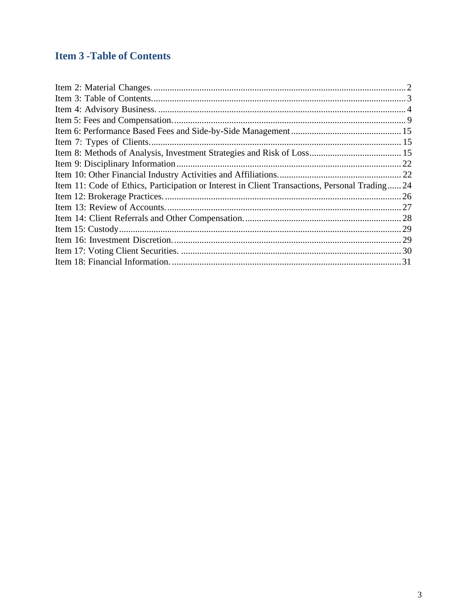# <span id="page-2-0"></span>**Item 3 - Table of Contents**

| Item 11: Code of Ethics, Participation or Interest in Client Transactions, Personal Trading 24 |    |
|------------------------------------------------------------------------------------------------|----|
|                                                                                                | 26 |
|                                                                                                |    |
|                                                                                                |    |
|                                                                                                |    |
|                                                                                                |    |
|                                                                                                |    |
|                                                                                                |    |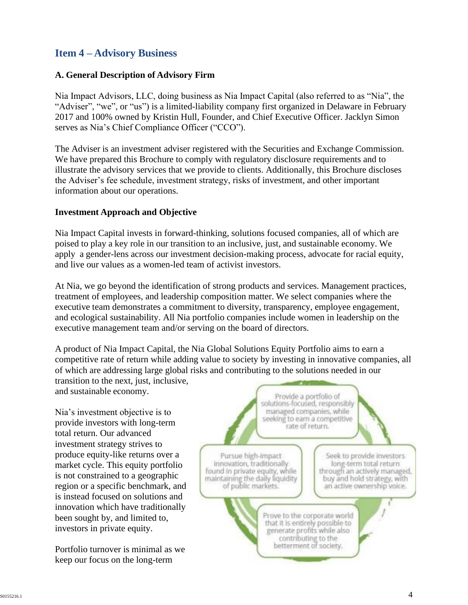# <span id="page-3-0"></span>**Item 4 – Advisory Business**

## **A. General Description of Advisory Firm**

Nia Impact Advisors, LLC, doing business as Nia Impact Capital (also referred to as "Nia", the "Adviser", "we", or "us") is a limited-liability company first organized in Delaware in February 2017 and 100% owned by Kristin Hull, Founder, and Chief Executive Officer. Jacklyn Simon serves as Nia's Chief Compliance Officer ("CCO").

The Adviser is an investment adviser registered with the Securities and Exchange Commission. We have prepared this Brochure to comply with regulatory disclosure requirements and to illustrate the advisory services that we provide to clients. Additionally, this Brochure discloses the Adviser's fee schedule, investment strategy, risks of investment, and other important information about our operations.

## **Investment Approach and Objective**

Nia Impact Capital invests in forward-thinking, solutions focused companies, all of which are poised to play a key role in our transition to an inclusive, just, and sustainable economy. We apply a gender-lens across our investment decision-making process, advocate for racial equity, and live our values as a women-led team of activist investors.

At Nia, we go beyond the identification of strong products and services. Management practices, treatment of employees, and leadership composition matter. We select companies where the executive team demonstrates a commitment to diversity, transparency, employee engagement, and ecological sustainability. All Nia portfolio companies include women in leadership on the executive management team and/or serving on the board of directors.

A product of Nia Impact Capital, the Nia Global Solutions Equity Portfolio aims to earn a competitive rate of return while adding value to society by investing in innovative companies, all of which are addressing large global risks and contributing to the solutions needed in our

transition to the next, just, inclusive, and sustainable economy.

Nia's investment objective is to provide investors with long-term total return. Our advanced investment strategy strives to produce equity-like returns over a market cycle. This equity portfolio is not constrained to a geographic region or a specific benchmark, and is instead focused on solutions and innovation which have traditionally been sought by, and limited to, investors in private equity.

Portfolio turnover is minimal as we keep our focus on the long-term

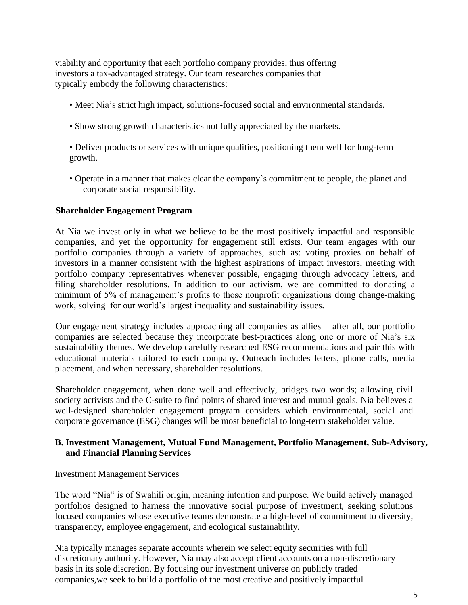viability and opportunity that each portfolio company provides, thus offering investors a tax-advantaged strategy. Our team researches companies that typically embody the following characteristics:

- Meet Nia's strict high impact, solutions-focused social and environmental standards.
- Show strong growth characteristics not fully appreciated by the markets.
- Deliver products or services with unique qualities, positioning them well for long-term growth.
- Operate in a manner that makes clear the company's commitment to people, the planet and corporate social responsibility.

## **Shareholder Engagement Program**

At Nia we invest only in what we believe to be the most positively impactful and responsible companies, and yet the opportunity for engagement still exists. Our team engages with our portfolio companies through a variety of approaches, such as: voting proxies on behalf of investors in a manner consistent with the highest aspirations of impact investors, meeting with portfolio company representatives whenever possible, engaging through advocacy letters, and filing shareholder resolutions. In addition to our activism, we are committed to donating a minimum of 5% of management's profits to those nonprofit organizations doing change-making work, solving for our world's largest inequality and sustainability issues.

Our engagement strategy includes approaching all companies as allies – after all, our portfolio companies are selected because they incorporate best-practices along one or more of Nia's six sustainability themes. We develop carefully researched ESG recommendations and pair this with educational materials tailored to each company. Outreach includes letters, phone calls, media placement, and when necessary, shareholder resolutions.

Shareholder engagement, when done well and effectively, bridges two worlds; allowing civil society activists and the C-suite to find points of shared interest and mutual goals. Nia believes a well-designed shareholder engagement program considers which environmental, social and corporate governance (ESG) changes will be most beneficial to long-term stakeholder value.

## **B. Investment Management, Mutual Fund Management, Portfolio Management, Sub-Advisory, and Financial Planning Services**

## Investment Management Services

The word "Nia" is of Swahili origin, meaning intention and purpose. We build actively managed portfolios designed to harness the innovative social purpose of investment, seeking solutions focused companies whose executive teams demonstrate a high-level of commitment to diversity, transparency, employee engagement, and ecological sustainability.

Nia typically manages separate accounts wherein we select equity securities with full discretionary authority. However, Nia may also accept client accounts on a non-discretionary basis in its sole discretion. By focusing our investment universe on publicly traded companies,we seek to build a portfolio of the most creative and positively impactful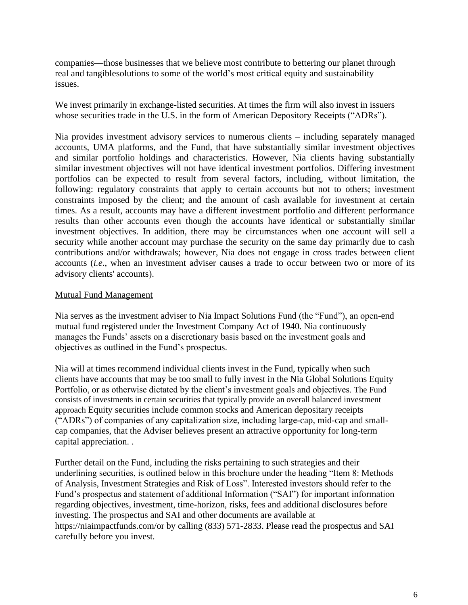companies—those businesses that we believe most contribute to bettering our planet through real and tangiblesolutions to some of the world's most critical equity and sustainability issues.

We invest primarily in exchange-listed securities. At times the firm will also invest in issuers whose securities trade in the U.S. in the form of American Depository Receipts ("ADRs").

Nia provides investment advisory services to numerous clients – including separately managed accounts, UMA platforms, and the Fund, that have substantially similar investment objectives and similar portfolio holdings and characteristics. However, Nia clients having substantially similar investment objectives will not have identical investment portfolios. Differing investment portfolios can be expected to result from several factors, including, without limitation, the following: regulatory constraints that apply to certain accounts but not to others; investment constraints imposed by the client; and the amount of cash available for investment at certain times. As a result, accounts may have a different investment portfolio and different performance results than other accounts even though the accounts have identical or substantially similar investment objectives. In addition, there may be circumstances when one account will sell a security while another account may purchase the security on the same day primarily due to cash contributions and/or withdrawals; however, Nia does not engage in cross trades between client accounts (*i.e*., when an investment adviser causes a trade to occur between two or more of its advisory clients' accounts).

#### Mutual Fund Management

Nia serves as the investment adviser to Nia Impact Solutions Fund (the "Fund"), an open-end mutual fund registered under the Investment Company Act of 1940. Nia continuously manages the Funds' assets on a discretionary basis based on the investment goals and objectives as outlined in the Fund's prospectus.

Nia will at times recommend individual clients invest in the Fund, typically when such clients have accounts that may be too small to fully invest in the Nia Global Solutions Equity Portfolio, or as otherwise dictated by the client's investment goals and objectives. The Fund consists of investments in certain securities that typically provide an overall balanced investment approach Equity securities include common stocks and American depositary receipts ("ADRs") of companies of any capitalization size, including large-cap, mid-cap and smallcap companies, that the Adviser believes present an attractive opportunity for long-term capital appreciation. .

Further detail on the Fund, including the risks pertaining to such strategies and their underlining securities, is outlined below in this brochure under the heading "Item 8: Methods of Analysis, Investment Strategies and Risk of Loss". Interested investors should refer to the Fund's prospectus and statement of additional Information ("SAI") for important information regarding objectives, investment, time-horizon, risks, fees and additional disclosures before investing. The prospectus and SAI and other documents are available at https://niaimpactfunds.com/or by calling (833) 571-2833. Please read the prospectus and SAI carefully before you invest.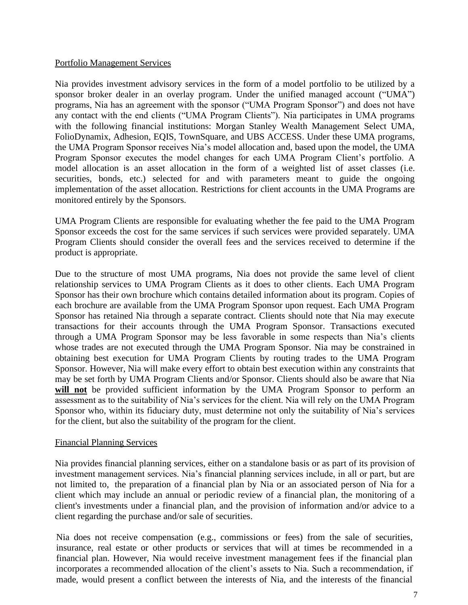## Portfolio Management Services

Nia provides investment advisory services in the form of a model portfolio to be utilized by a sponsor broker dealer in an overlay program. Under the unified managed account ("UMA") programs, Nia has an agreement with the sponsor ("UMA Program Sponsor") and does not have any contact with the end clients ("UMA Program Clients"). Nia participates in UMA programs with the following financial institutions: Morgan Stanley Wealth Management Select UMA, FolioDynamix, Adhesion, EQIS, TownSquare, and UBS ACCESS. Under these UMA programs, the UMA Program Sponsor receives Nia's model allocation and, based upon the model, the UMA Program Sponsor executes the model changes for each UMA Program Client's portfolio. A model allocation is an asset allocation in the form of a weighted list of asset classes (i.e. securities, bonds, etc.) selected for and with parameters meant to guide the ongoing implementation of the asset allocation. Restrictions for client accounts in the UMA Programs are monitored entirely by the Sponsors.

UMA Program Clients are responsible for evaluating whether the fee paid to the UMA Program Sponsor exceeds the cost for the same services if such services were provided separately. UMA Program Clients should consider the overall fees and the services received to determine if the product is appropriate.

Due to the structure of most UMA programs, Nia does not provide the same level of client relationship services to UMA Program Clients as it does to other clients. Each UMA Program Sponsor has their own brochure which contains detailed information about its program. Copies of each brochure are available from the UMA Program Sponsor upon request. Each UMA Program Sponsor has retained Nia through a separate contract. Clients should note that Nia may execute transactions for their accounts through the UMA Program Sponsor. Transactions executed through a UMA Program Sponsor may be less favorable in some respects than Nia's clients whose trades are not executed through the UMA Program Sponsor. Nia may be constrained in obtaining best execution for UMA Program Clients by routing trades to the UMA Program Sponsor. However, Nia will make every effort to obtain best execution within any constraints that may be set forth by UMA Program Clients and/or Sponsor. Clients should also be aware that Nia will not be provided sufficient information by the UMA Program Sponsor to perform an assessment as to the suitability of Nia's services for the client. Nia will rely on the UMA Program Sponsor who, within its fiduciary duty, must determine not only the suitability of Nia's services for the client, but also the suitability of the program for the client.

#### Financial Planning Services

Nia provides financial planning services, either on a standalone basis or as part of its provision of investment management services. Nia's financial planning services include, in all or part, but are not limited to, the preparation of a financial plan by Nia or an associated person of Nia for a client which may include an annual or periodic review of a financial plan, the monitoring of a client's investments under a financial plan, and the provision of information and/or advice to a client regarding the purchase and/or sale of securities.

Nia does not receive compensation (e.g., commissions or fees) from the sale of securities, insurance, real estate or other products or services that will at times be recommended in a financial plan. However, Nia would receive investment management fees if the financial plan incorporates a recommended allocation of the client's assets to Nia. Such a recommendation, if made, would present a conflict between the interests of Nia, and the interests of the financial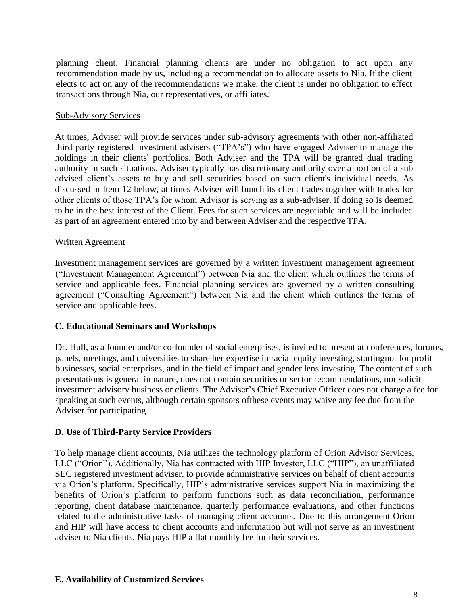planning client. Financial planning clients are under no obligation to act upon any recommendation made by us, including a recommendation to allocate assets to Nia. If the client elects to act on any of the recommendations we make, the client is under no obligation to effect transactions through Nia, our representatives, or affiliates.

## Sub-Advisory Services

At times, Adviser will provide services under sub-advisory agreements with other non-affiliated third party registered investment advisers ("TPA's") who have engaged Adviser to manage the holdings in their clients' portfolios. Both Adviser and the TPA will be granted dual trading authority in such situations. Adviser typically has discretionary authority over a portion of a sub advised client's assets to buy and sell securities based on such client's individual needs. As discussed in Item 12 below, at times Adviser will bunch its client trades together with trades for other clients of those TPA's for whom Advisor is serving as a sub-adviser, if doing so is deemed to be in the best interest of the Client. Fees for such services are negotiable and will be included as part of an agreement entered into by and between Adviser and the respective TPA.

## Written Agreement

Investment management services are governed by a written investment management agreement ("Investment Management Agreement") between Nia and the client which outlines the terms of service and applicable fees. Financial planning services are governed by a written consulting agreement ("Consulting Agreement") between Nia and the client which outlines the terms of service and applicable fees.

## **C. Educational Seminars and Workshops**

Dr. Hull, as a founder and/or co-founder of social enterprises, is invited to present at conferences, forums, panels, meetings, and universities to share her expertise in racial equity investing, startingnot for profit businesses, social enterprises, and in the field of impact and gender lens investing. The content of such presentations is general in nature, does not contain securities or sector recommendations, nor solicit investment advisory business or clients. The Adviser's Chief Executive Officer does not charge a fee for speaking at such events, although certain sponsors ofthese events may waive any fee due from the Adviser for participating.

## **D. Use of Third-Party Service Providers**

To help manage client accounts, Nia utilizes the technology platform of Orion Advisor Services, LLC ("Orion"). Additionally, Nia has contracted with HIP Investor, LLC ("HIP"), an unaffiliated SEC registered investment adviser, to provide administrative services on behalf of client accounts via Orion's platform. Specifically, HIP's administrative services support Nia in maximizing the benefits of Orion's platform to perform functions such as data reconciliation, performance reporting, client database maintenance, quarterly performance evaluations, and other functions related to the administrative tasks of managing client accounts. Due to this arrangement Orion and HIP will have access to client accounts and information but will not serve as an investment adviser to Nia clients. Nia pays HIP a flat monthly fee for their services.

## **E. Availability of Customized Services**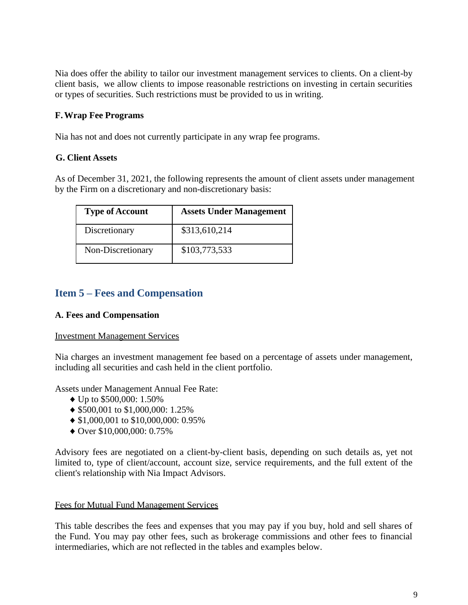Nia does offer the ability to tailor our investment management services to clients. On a client-by client basis, we allow clients to impose reasonable restrictions on investing in certain securities or types of securities. Such restrictions must be provided to us in writing.

## **F.Wrap Fee Programs**

Nia has not and does not currently participate in any wrap fee programs.

## **G. Client Assets**

As of December 31, 2021, the following represents the amount of client assets under management by the Firm on a discretionary and non-discretionary basis:

| <b>Type of Account</b> | <b>Assets Under Management</b> |
|------------------------|--------------------------------|
| Discretionary          | \$313,610,214                  |
| Non-Discretionary      | \$103,773,533                  |

# <span id="page-8-0"></span>**Item 5 – Fees and Compensation**

## **A. Fees and Compensation**

## Investment Management Services

Nia charges an investment management fee based on a percentage of assets under management, including all securities and cash held in the client portfolio.

Assets under Management Annual Fee Rate:

- ♦ Up to \$500,000: 1.50%
- ♦ \$500,001 to \$1,000,000: 1.25%
- ♦ \$1,000,001 to \$10,000,000: 0.95%
- ♦ Over \$10,000,000: 0.75%

Advisory fees are negotiated on a client-by-client basis, depending on such details as, yet not limited to, type of client/account, account size, service requirements, and the full extent of the client's relationship with Nia Impact Advisors.

## Fees for Mutual Fund Management Services

This table describes the fees and expenses that you may pay if you buy, hold and sell shares of the Fund. You may pay other fees, such as brokerage commissions and other fees to financial intermediaries, which are not reflected in the tables and examples below.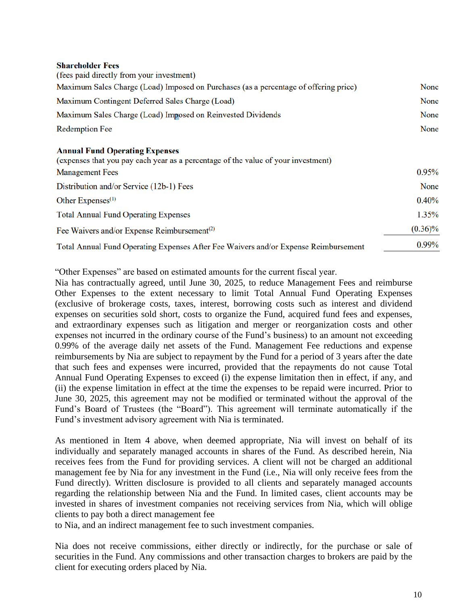#### **Shareholder Fees**

| (fees paid directly from your investment)                                                                                  |            |
|----------------------------------------------------------------------------------------------------------------------------|------------|
| Maximum Sales Charge (Load) Imposed on Purchases (as a percentage of offering price)                                       | None       |
| Maximum Contingent Deferred Sales Charge (Load)                                                                            | None       |
| Maximum Sales Charge (Load) Imposed on Reinvested Dividends                                                                | None       |
| <b>Redemption Fee</b>                                                                                                      | None       |
| <b>Annual Fund Operating Expenses</b><br>(expenses that you pay each year as a percentage of the value of your investment) |            |
| <b>Management Fees</b>                                                                                                     | 0.95%      |
| Distribution and/or Service (12b-1) Fees                                                                                   | None       |
| Other Expenses $(1)$                                                                                                       | 0.40%      |
| <b>Total Annual Fund Operating Expenses</b>                                                                                | 1.35%      |
| Fee Waivers and/or Expense Reimbursement <sup>(2)</sup>                                                                    | $(0.36)\%$ |
| Total Annual Fund Operating Expenses After Fee Waivers and/or Expense Reimbursement                                        | 0.99%      |

"Other Expenses" are based on estimated amounts for the current fiscal year.

Nia has contractually agreed, until June 30, 2025, to reduce Management Fees and reimburse Other Expenses to the extent necessary to limit Total Annual Fund Operating Expenses (exclusive of brokerage costs, taxes, interest, borrowing costs such as interest and dividend expenses on securities sold short, costs to organize the Fund, acquired fund fees and expenses, and extraordinary expenses such as litigation and merger or reorganization costs and other expenses not incurred in the ordinary course of the Fund's business) to an amount not exceeding 0.99% of the average daily net assets of the Fund. Management Fee reductions and expense reimbursements by Nia are subject to repayment by the Fund for a period of 3 years after the date that such fees and expenses were incurred, provided that the repayments do not cause Total Annual Fund Operating Expenses to exceed (i) the expense limitation then in effect, if any, and (ii) the expense limitation in effect at the time the expenses to be repaid were incurred. Prior to June 30, 2025, this agreement may not be modified or terminated without the approval of the Fund's Board of Trustees (the "Board"). This agreement will terminate automatically if the Fund's investment advisory agreement with Nia is terminated.

As mentioned in Item 4 above, when deemed appropriate, Nia will invest on behalf of its individually and separately managed accounts in shares of the Fund. As described herein, Nia receives fees from the Fund for providing services. A client will not be charged an additional management fee by Nia for any investment in the Fund (i.e., Nia will only receive fees from the Fund directly). Written disclosure is provided to all clients and separately managed accounts regarding the relationship between Nia and the Fund. In limited cases, client accounts may be invested in shares of investment companies not receiving services from Nia, which will oblige clients to pay both a direct management fee

to Nia, and an indirect management fee to such investment companies.

Nia does not receive commissions, either directly or indirectly, for the purchase or sale of securities in the Fund. Any commissions and other transaction charges to brokers are paid by the client for executing orders placed by Nia.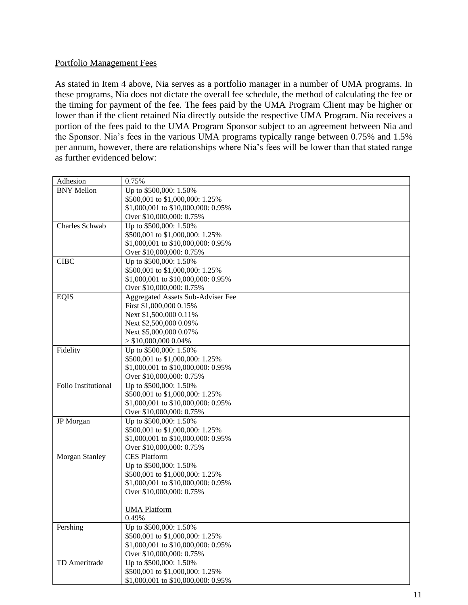## Portfolio Management Fees

As stated in Item 4 above, Nia serves as a portfolio manager in a number of UMA programs. In these programs, Nia does not dictate the overall fee schedule, the method of calculating the fee or the timing for payment of the fee. The fees paid by the UMA Program Client may be higher or lower than if the client retained Nia directly outside the respective UMA Program. Nia receives a portion of the fees paid to the UMA Program Sponsor subject to an agreement between Nia and the Sponsor. Nia's fees in the various UMA programs typically range between 0.75% and 1.5% per annum, however, there are relationships where Nia's fees will be lower than that stated range as further evidenced below:

| Adhesion              | 0.75%                              |
|-----------------------|------------------------------------|
| <b>BNY Mellon</b>     | Up to \$500,000: 1.50%             |
|                       | \$500,001 to \$1,000,000: 1.25%    |
|                       | \$1,000,001 to \$10,000,000: 0.95% |
|                       | Over \$10,000,000: 0.75%           |
| Charles Schwab        | Up to \$500,000: 1.50%             |
|                       | \$500,001 to \$1,000,000: 1.25%    |
|                       | \$1,000,001 to \$10,000,000: 0.95% |
|                       | Over \$10,000,000: 0.75%           |
| <b>CIBC</b>           | Up to \$500,000: 1.50%             |
|                       | \$500,001 to \$1,000,000: 1.25%    |
|                       | \$1,000,001 to \$10,000,000: 0.95% |
|                       | Over \$10,000,000: 0.75%           |
| <b>EQIS</b>           | Aggregated Assets Sub-Adviser Fee  |
|                       | First \$1,000,000 0.15%            |
|                       | Next \$1,500,000 0.11%             |
|                       | Next \$2,500,000 0.09%             |
|                       | Next \$5,000,000 0.07%             |
|                       | $> $10,000,000 0.04\%$             |
| Fidelity              | Up to \$500,000: 1.50%             |
|                       | \$500,001 to \$1,000,000: 1.25%    |
|                       | \$1,000,001 to \$10,000,000: 0.95% |
|                       | Over \$10,000,000: 0.75%           |
| Folio Institutional   | Up to \$500,000: 1.50%             |
|                       | \$500,001 to \$1,000,000: 1.25%    |
|                       | \$1,000,001 to \$10,000,000: 0.95% |
|                       | Over \$10,000,000: 0.75%           |
| JP Morgan             | Up to \$500,000: 1.50%             |
|                       | \$500,001 to \$1,000,000: 1.25%    |
|                       | \$1,000,001 to \$10,000,000: 0.95% |
|                       | Over \$10,000,000: 0.75%           |
| <b>Morgan Stanley</b> | <b>CES</b> Platform                |
|                       | Up to \$500,000: 1.50%             |
|                       | \$500,001 to \$1,000,000: 1.25%    |
|                       | \$1,000,001 to \$10,000,000: 0.95% |
|                       | Over \$10,000,000: 0.75%           |
|                       |                                    |
|                       | <b>UMA Platform</b>                |
|                       | 0.49%                              |
| Pershing              | Up to \$500,000: 1.50%             |
|                       | \$500,001 to \$1,000,000: 1.25%    |
|                       | \$1,000,001 to \$10,000,000: 0.95% |
|                       | Over \$10,000,000: 0.75%           |
| TD Ameritrade         | Up to \$500,000: 1.50%             |
|                       | \$500,001 to \$1,000,000: 1.25%    |
|                       | \$1,000,001 to \$10,000,000: 0.95% |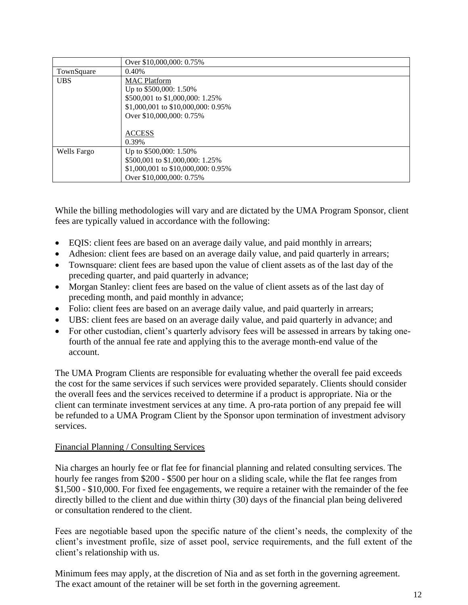|             | Over \$10,000,000: 0.75%           |  |
|-------------|------------------------------------|--|
| TownSquare  | 0.40%                              |  |
| <b>UBS</b>  | <b>MAC Platform</b>                |  |
|             | Up to \$500,000: 1.50%             |  |
|             | \$500,001 to \$1,000,000: 1.25%    |  |
|             | \$1,000,001 to \$10,000,000: 0.95% |  |
|             | Over \$10,000,000: 0.75%           |  |
|             |                                    |  |
|             | <b>ACCESS</b>                      |  |
|             | 0.39%                              |  |
| Wells Fargo | Up to \$500,000: 1.50%             |  |
|             | \$500,001 to \$1,000,000: 1.25%    |  |
|             | \$1,000,001 to \$10,000,000: 0.95% |  |
|             | Over \$10,000,000: 0.75%           |  |

While the billing methodologies will vary and are dictated by the UMA Program Sponsor, client fees are typically valued in accordance with the following:

- EQIS: client fees are based on an average daily value, and paid monthly in arrears;
- Adhesion: client fees are based on an average daily value, and paid quarterly in arrears;
- Townsquare: client fees are based upon the value of client assets as of the last day of the preceding quarter, and paid quarterly in advance;
- Morgan Stanley: client fees are based on the value of client assets as of the last day of preceding month, and paid monthly in advance;
- Folio: client fees are based on an average daily value, and paid quarterly in arrears;
- UBS: client fees are based on an average daily value, and paid quarterly in advance; and
- For other custodian, client's quarterly advisory fees will be assessed in arrears by taking onefourth of the annual fee rate and applying this to the average month-end value of the account.

The UMA Program Clients are responsible for evaluating whether the overall fee paid exceeds the cost for the same services if such services were provided separately. Clients should consider the overall fees and the services received to determine if a product is appropriate. Nia or the client can terminate investment services at any time. A pro-rata portion of any prepaid fee will be refunded to a UMA Program Client by the Sponsor upon termination of investment advisory services.

## Financial Planning / Consulting Services

Nia charges an hourly fee or flat fee for financial planning and related consulting services. The hourly fee ranges from \$200 - \$500 per hour on a sliding scale, while the flat fee ranges from \$1,500 - \$10,000. For fixed fee engagements, we require a retainer with the remainder of the fee directly billed to the client and due within thirty (30) days of the financial plan being delivered or consultation rendered to the client.

Fees are negotiable based upon the specific nature of the client's needs, the complexity of the client's investment profile, size of asset pool, service requirements, and the full extent of the client's relationship with us.

Minimum fees may apply, at the discretion of Nia and as set forth in the governing agreement. The exact amount of the retainer will be set forth in the governing agreement.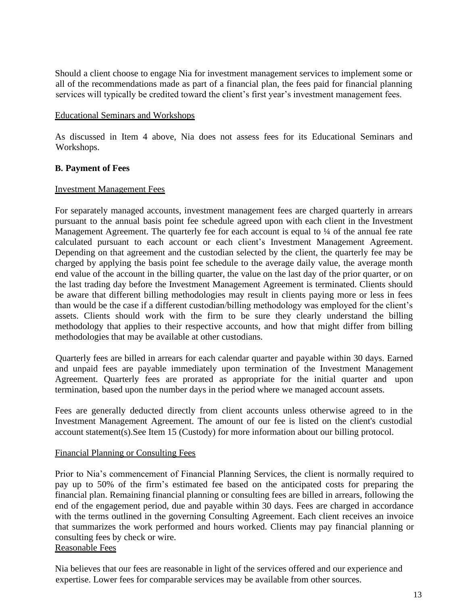Should a client choose to engage Nia for investment management services to implement some or all of the recommendations made as part of a financial plan, the fees paid for financial planning services will typically be credited toward the client's first year's investment management fees.

#### Educational Seminars and Workshops

As discussed in Item 4 above, Nia does not assess fees for its Educational Seminars and Workshops.

## **B. Payment of Fees**

#### Investment Management Fees

For separately managed accounts, investment management fees are charged quarterly in arrears pursuant to the annual basis point fee schedule agreed upon with each client in the Investment Management Agreement. The quarterly fee for each account is equal to <sup>1</sup>/4 of the annual fee rate calculated pursuant to each account or each client's Investment Management Agreement. Depending on that agreement and the custodian selected by the client, the quarterly fee may be charged by applying the basis point fee schedule to the average daily value, the average month end value of the account in the billing quarter, the value on the last day of the prior quarter, or on the last trading day before the Investment Management Agreement is terminated. Clients should be aware that different billing methodologies may result in clients paying more or less in fees than would be the case if a different custodian/billing methodology was employed for the client's assets. Clients should work with the firm to be sure they clearly understand the billing methodology that applies to their respective accounts, and how that might differ from billing methodologies that may be available at other custodians.

Quarterly fees are billed in arrears for each calendar quarter and payable within 30 days. Earned and unpaid fees are payable immediately upon termination of the Investment Management Agreement. Quarterly fees are prorated as appropriate for the initial quarter and upon termination, based upon the number days in the period where we managed account assets.

Fees are generally deducted directly from client accounts unless otherwise agreed to in the Investment Management Agreement. The amount of our fee is listed on the client's custodial account statement(s).See Item 15 (Custody) for more information about our billing protocol.

#### Financial Planning or Consulting Fees

Prior to Nia's commencement of Financial Planning Services, the client is normally required to pay up to 50% of the firm's estimated fee based on the anticipated costs for preparing the financial plan. Remaining financial planning or consulting fees are billed in arrears, following the end of the engagement period, due and payable within 30 days. Fees are charged in accordance with the terms outlined in the governing Consulting Agreement. Each client receives an invoice that summarizes the work performed and hours worked. Clients may pay financial planning or consulting fees by check or wire.

## Reasonable Fees

Nia believes that our fees are reasonable in light of the services offered and our experience and expertise. Lower fees for comparable services may be available from other sources.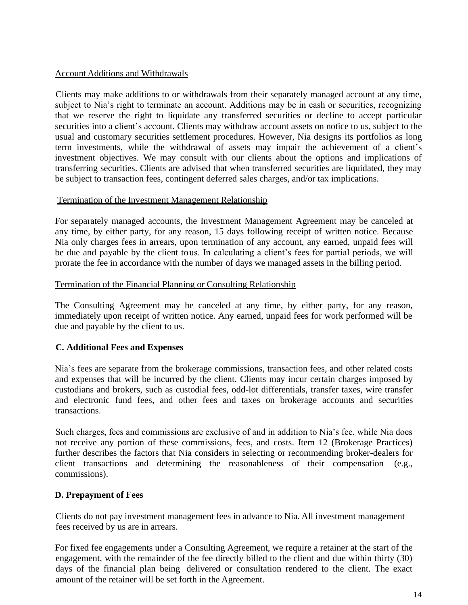## Account Additions and Withdrawals

Clients may make additions to or withdrawals from their separately managed account at any time, subject to Nia's right to terminate an account. Additions may be in cash or securities, recognizing that we reserve the right to liquidate any transferred securities or decline to accept particular securities into a client's account. Clients may withdraw account assets on notice to us, subject to the usual and customary securities settlement procedures. However, Nia designs its portfolios as long term investments, while the withdrawal of assets may impair the achievement of a client's investment objectives. We may consult with our clients about the options and implications of transferring securities. Clients are advised that when transferred securities are liquidated, they may be subject to transaction fees, contingent deferred sales charges, and/or tax implications.

## Termination of the Investment Management Relationship

For separately managed accounts, the Investment Management Agreement may be canceled at any time, by either party, for any reason, 15 days following receipt of written notice. Because Nia only charges fees in arrears, upon termination of any account, any earned, unpaid fees will be due and payable by the client tous. In calculating a client's fees for partial periods, we will prorate the fee in accordance with the number of days we managed assets in the billing period.

## Termination of the Financial Planning or Consulting Relationship

The Consulting Agreement may be canceled at any time, by either party, for any reason, immediately upon receipt of written notice. Any earned, unpaid fees for work performed will be due and payable by the client to us.

## **C. Additional Fees and Expenses**

Nia's fees are separate from the brokerage commissions, transaction fees, and other related costs and expenses that will be incurred by the client. Clients may incur certain charges imposed by custodians and brokers, such as custodial fees, odd-lot differentials, transfer taxes, wire transfer and electronic fund fees, and other fees and taxes on brokerage accounts and securities transactions.

Such charges, fees and commissions are exclusive of and in addition to Nia's fee, while Nia does not receive any portion of these commissions, fees, and costs. Item 12 (Brokerage Practices) further describes the factors that Nia considers in selecting or recommending broker-dealers for client transactions and determining the reasonableness of their compensation (e.g., commissions).

## **D. Prepayment of Fees**

Clients do not pay investment management fees in advance to Nia. All investment management fees received by us are in arrears.

For fixed fee engagements under a Consulting Agreement, we require a retainer at the start of the engagement, with the remainder of the fee directly billed to the client and due within thirty (30) days of the financial plan being delivered or consultation rendered to the client. The exact amount of the retainer will be set forth in the Agreement.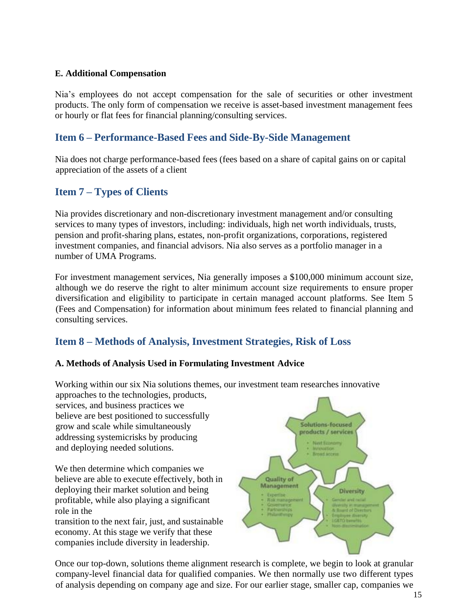## **E. Additional Compensation**

Nia's employees do not accept compensation for the sale of securities or other investment products. The only form of compensation we receive is asset-based investment management fees or hourly or flat fees for financial planning/consulting services.

# <span id="page-14-0"></span>**Item 6 – Performance-Based Fees and Side-By-Side Management**

Nia does not charge performance-based fees (fees based on a share of capital gains on or capital appreciation of the assets of a client

# **Item 7 – Types of Clients**

Nia provides discretionary and non-discretionary investment management and/or consulting services to many types of investors, including: individuals, high net worth individuals, trusts, pension and profit-sharing plans, estates, non-profit organizations, corporations, registered investment companies, and financial advisors. Nia also serves as a portfolio manager in a number of UMA Programs.

For investment management services, Nia generally imposes a \$100,000 minimum account size, although we do reserve the right to alter minimum account size requirements to ensure proper diversification and eligibility to participate in certain managed account platforms. See Item 5 (Fees and Compensation) for information about minimum fees related to financial planning and consulting services.

# **Item 8 – Methods of Analysis, Investment Strategies, Risk of Loss**

## **A. Methods of Analysis Used in Formulating Investment Advice**

Working within our six Nia solutions themes, our investment team researches innovative approaches to the technologies, products, services, and business practices we believe are best positioned to successfully Solutions-focused grow and scale while simultaneously products / services addressing systemicrisks by producing **Nust Frances** and deploying needed solutions. **Intriencel Slicker** 

We then determine which companies we believe are able to execute effectively, both in deploying their market solution and being profitable, while also playing a significant role in the transition to the next fair, just, and sustainable economy. At this stage we verify that these companies include diversity in leadership.



Once our top-down, solutions theme alignment research is complete, we begin to look at granular company-level financial data for qualified companies. We then normally use two different types of analysis depending on company age and size. For our earlier stage, smaller cap, companies we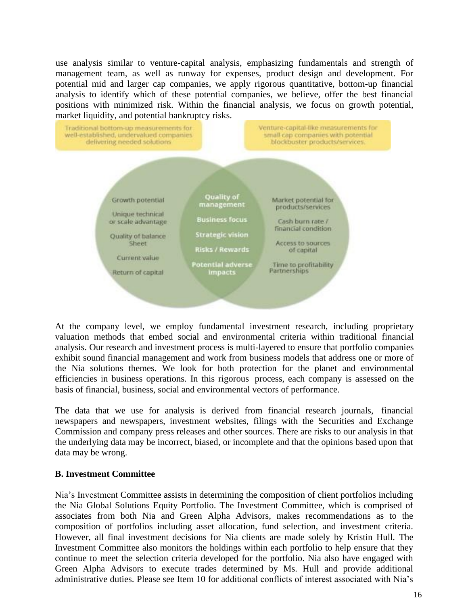use analysis similar to venture-capital analysis, emphasizing fundamentals and strength of management team, as well as runway for expenses, product design and development. For potential mid and larger cap companies, we apply rigorous quantitative, bottom-up financial analysis to identify which of these potential companies, we believe, offer the best financial positions with minimized risk. Within the financial analysis, we focus on growth potential, market liquidity, and potential bankruptcy risks.



At the company level, we employ fundamental investment research, including proprietary valuation methods that embed social and environmental criteria within traditional financial analysis. Our research and investment process is multi-layered to ensure that portfolio companies exhibit sound financial management and work from business models that address one or more of the Nia solutions themes. We look for both protection for the planet and environmental efficiencies in business operations. In this rigorous process, each company is assessed on the basis of financial, business, social and environmental vectors of performance.

The data that we use for analysis is derived from financial research journals, financial newspapers and newspapers, investment websites, filings with the Securities and Exchange Commission and company press releases and other sources. There are risks to our analysis in that the underlying data may be incorrect, biased, or incomplete and that the opinions based upon that data may be wrong.

## **B. Investment Committee**

Nia's Investment Committee assists in determining the composition of client portfolios including the Nia Global Solutions Equity Portfolio. The Investment Committee, which is comprised of associates from both Nia and Green Alpha Advisors, makes recommendations as to the composition of portfolios including asset allocation, fund selection, and investment criteria. However, all final investment decisions for Nia clients are made solely by Kristin Hull. The Investment Committee also monitors the holdings within each portfolio to help ensure that they continue to meet the selection criteria developed for the portfolio. Nia also have engaged with Green Alpha Advisors to execute trades determined by Ms. Hull and provide additional administrative duties. Please see Item 10 for additional conflicts of interest associated with Nia's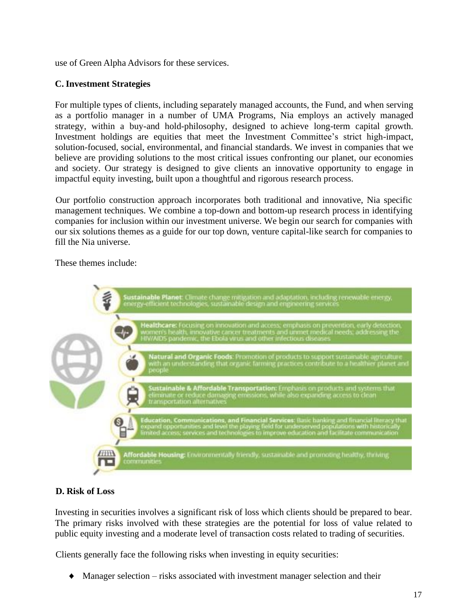use of Green Alpha Advisors for these services.

## **C. Investment Strategies**

For multiple types of clients, including separately managed accounts, the Fund, and when serving as a portfolio manager in a number of UMA Programs, Nia employs an actively managed strategy, within a buy-and hold-philosophy, designed to achieve long-term capital growth. Investment holdings are equities that meet the Investment Committee's strict high-impact, solution-focused, social, environmental, and financial standards. We invest in companies that we believe are providing solutions to the most critical issues confronting our planet, our economies and society. Our strategy is designed to give clients an innovative opportunity to engage in impactful equity investing, built upon a thoughtful and rigorous research process.

Our portfolio construction approach incorporates both traditional and innovative, Nia specific management techniques. We combine a top-down and bottom-up research process in identifying companies for inclusion within our investment universe. We begin our search for companies with our six solutions themes as a guide for our top down, venture capital-like search for companies to fill the Nia universe.

These themes include:



## **D. Risk of Loss**

Investing in securities involves a significant risk of loss which clients should be prepared to bear. The primary risks involved with these strategies are the potential for loss of value related to public equity investing and a moderate level of transaction costs related to trading of securities.

Clients generally face the following risks when investing in equity securities:

 $\blacklozenge$  Manager selection – risks associated with investment manager selection and their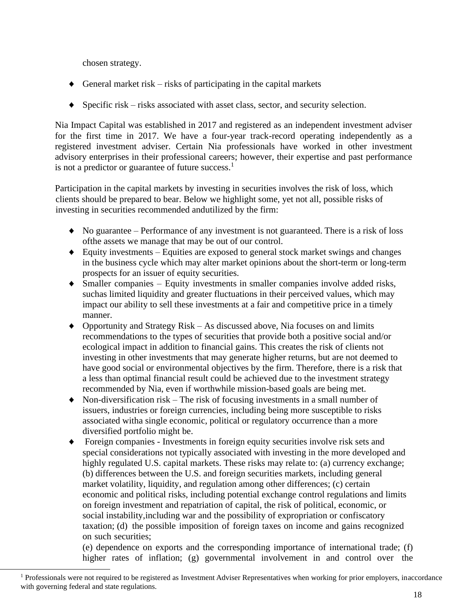chosen strategy.

- $\triangleleft$  General market risk risks of participating in the capital markets
- $\blacklozenge$  Specific risk risks associated with asset class, sector, and security selection.

Nia Impact Capital was established in 2017 and registered as an independent investment adviser for the first time in 2017. We have a four-year track-record operating independently as a registered investment adviser. Certain Nia professionals have worked in other investment advisory enterprises in their professional careers; however, their expertise and past performance is not a predictor or guarantee of future success.<sup>1</sup>

Participation in the capital markets by investing in securities involves the risk of loss, which clients should be prepared to bear. Below we highlight some, yet not all, possible risks of investing in securities recommended andutilized by the firm:

- ♦ No guarantee Performance of any investment is not guaranteed. There is a risk of loss ofthe assets we manage that may be out of our control.
- ♦ Equity investments Equities are exposed to general stock market swings and changes in the business cycle which may alter market opinions about the short-term or long-term prospects for an issuer of equity securities.
- ♦ Smaller companies Equity investments in smaller companies involve added risks, suchas limited liquidity and greater fluctuations in their perceived values, which may impact our ability to sell these investments at a fair and competitive price in a timely manner.
- $\blacklozenge$  Opportunity and Strategy Risk As discussed above, Nia focuses on and limits recommendations to the types of securities that provide both a positive social and/or ecological impact in addition to financial gains. This creates the risk of clients not investing in other investments that may generate higher returns, but are not deemed to have good social or environmental objectives by the firm. Therefore, there is a risk that a less than optimal financial result could be achieved due to the investment strategy recommended by Nia, even if worthwhile mission-based goals are being met.
- ♦ Non-diversification risk The risk of focusing investments in a small number of issuers, industries or foreign currencies, including being more susceptible to risks associated witha single economic, political or regulatory occurrence than a more diversified portfolio might be.
- ♦ Foreign companies Investments in foreign equity securities involve risk sets and special considerations not typically associated with investing in the more developed and highly regulated U.S. capital markets. These risks may relate to: (a) currency exchange; (b) differences between the U.S. and foreign securities markets, including general market volatility, liquidity, and regulation among other differences; (c) certain economic and political risks, including potential exchange control regulations and limits on foreign investment and repatriation of capital, the risk of political, economic, or social instability,including war and the possibility of expropriation or confiscatory taxation; (d) the possible imposition of foreign taxes on income and gains recognized on such securities;

(e) dependence on exports and the corresponding importance of international trade; (f) higher rates of inflation; (g) governmental involvement in and control over the

<sup>&</sup>lt;sup>1</sup> Professionals were not required to be registered as Investment Adviser Representatives when working for prior employers, inaccordance with governing federal and state regulations.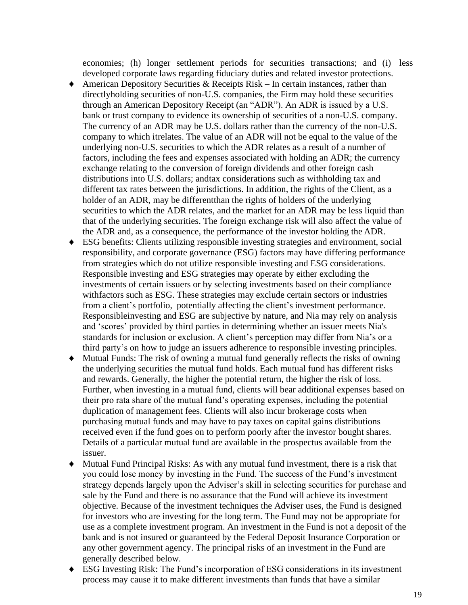economies; (h) longer settlement periods for securities transactions; and (i) less developed corporate laws regarding fiduciary duties and related investor protections.

- ♦ American Depository Securities & Receipts Risk In certain instances, rather than directlyholding securities of non-U.S. companies, the Firm may hold these securities through an American Depository Receipt (an "ADR"). An ADR is issued by a U.S. bank or trust company to evidence its ownership of securities of a non-U.S. company. The currency of an ADR may be U.S. dollars rather than the currency of the non-U.S. company to which itrelates. The value of an ADR will not be equal to the value of the underlying non-U.S. securities to which the ADR relates as a result of a number of factors, including the fees and expenses associated with holding an ADR; the currency exchange relating to the conversion of foreign dividends and other foreign cash distributions into U.S. dollars; andtax considerations such as withholding tax and different tax rates between the jurisdictions. In addition, the rights of the Client, as a holder of an ADR, may be differentthan the rights of holders of the underlying securities to which the ADR relates, and the market for an ADR may be less liquid than that of the underlying securities. The foreign exchange risk will also affect the value of the ADR and, as a consequence, the performance of the investor holding the ADR.
- ♦ ESG benefits: Clients utilizing responsible investing strategies and environment, social responsibility, and corporate governance (ESG) factors may have differing performance from strategies which do not utilize responsible investing and ESG considerations. Responsible investing and ESG strategies may operate by either excluding the investments of certain issuers or by selecting investments based on their compliance withfactors such as ESG. These strategies may exclude certain sectors or industries from a client's portfolio, potentially affecting the client's investment performance. Responsibleinvesting and ESG are subjective by nature, and Nia may rely on analysis and 'scores' provided by third parties in determining whether an issuer meets Nia's standards for inclusion or exclusion. A client's perception may differ from Nia's or a third party's on how to judge an issuers adherence to responsible investing principles.
- ♦ Mutual Funds: The risk of owning a mutual fund generally reflects the risks of owning the underlying securities the mutual fund holds. Each mutual fund has different risks and rewards. Generally, the higher the potential return, the higher the risk of loss. Further, when investing in a mutual fund, clients will bear additional expenses based on their pro rata share of the mutual fund's operating expenses, including the potential duplication of management fees. Clients will also incur brokerage costs when purchasing mutual funds and may have to pay taxes on capital gains distributions received even if the fund goes on to perform poorly after the investor bought shares. Details of a particular mutual fund are available in the prospectus available from the issuer.
- Mutual Fund Principal Risks: As with any mutual fund investment, there is a risk that you could lose money by investing in the Fund. The success of the Fund's investment strategy depends largely upon the Adviser's skill in selecting securities for purchase and sale by the Fund and there is no assurance that the Fund will achieve its investment objective. Because of the investment techniques the Adviser uses, the Fund is designed for investors who are investing for the long term. The Fund may not be appropriate for use as a complete investment program. An investment in the Fund is not a deposit of the bank and is not insured or guaranteed by the Federal Deposit Insurance Corporation or any other government agency. The principal risks of an investment in the Fund are generally described below.
- ESG Investing Risk: The Fund's incorporation of ESG considerations in its investment process may cause it to make different investments than funds that have a similar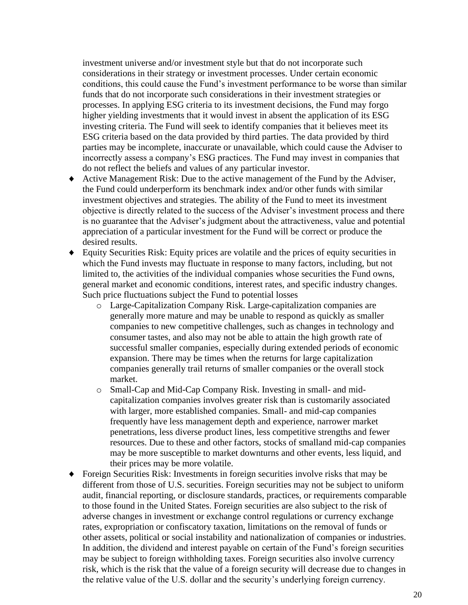investment universe and/or investment style but that do not incorporate such considerations in their strategy or investment processes. Under certain economic conditions, this could cause the Fund's investment performance to be worse than similar funds that do not incorporate such considerations in their investment strategies or processes. In applying ESG criteria to its investment decisions, the Fund may forgo higher yielding investments that it would invest in absent the application of its ESG investing criteria. The Fund will seek to identify companies that it believes meet its ESG criteria based on the data provided by third parties. The data provided by third parties may be incomplete, inaccurate or unavailable, which could cause the Adviser to incorrectly assess a company's ESG practices. The Fund may invest in companies that do not reflect the beliefs and values of any particular investor.

- ♦ Active Management Risk: Due to the active management of the Fund by the Adviser, the Fund could underperform its benchmark index and/or other funds with similar investment objectives and strategies. The ability of the Fund to meet its investment objective is directly related to the success of the Adviser's investment process and there is no guarantee that the Adviser's judgment about the attractiveness, value and potential appreciation of a particular investment for the Fund will be correct or produce the desired results.
- ♦ Equity Securities Risk: Equity prices are volatile and the prices of equity securities in which the Fund invests may fluctuate in response to many factors, including, but not limited to, the activities of the individual companies whose securities the Fund owns, general market and economic conditions, interest rates, and specific industry changes. Such price fluctuations subject the Fund to potential losses
	- o Large-Capitalization Company Risk. Large-capitalization companies are generally more mature and may be unable to respond as quickly as smaller companies to new competitive challenges, such as changes in technology and consumer tastes, and also may not be able to attain the high growth rate of successful smaller companies, especially during extended periods of economic expansion. There may be times when the returns for large capitalization companies generally trail returns of smaller companies or the overall stock market.
	- o Small-Cap and Mid-Cap Company Risk. Investing in small- and midcapitalization companies involves greater risk than is customarily associated with larger, more established companies. Small- and mid-cap companies frequently have less management depth and experience, narrower market penetrations, less diverse product lines, less competitive strengths and fewer resources. Due to these and other factors, stocks of smalland mid-cap companies may be more susceptible to market downturns and other events, less liquid, and their prices may be more volatile.
- ♦ Foreign Securities Risk: Investments in foreign securities involve risks that may be different from those of U.S. securities. Foreign securities may not be subject to uniform audit, financial reporting, or disclosure standards, practices, or requirements comparable to those found in the United States. Foreign securities are also subject to the risk of adverse changes in investment or exchange control regulations or currency exchange rates, expropriation or confiscatory taxation, limitations on the removal of funds or other assets, political or social instability and nationalization of companies or industries. In addition, the dividend and interest payable on certain of the Fund's foreign securities may be subject to foreign withholding taxes. Foreign securities also involve currency risk, which is the risk that the value of a foreign security will decrease due to changes in the relative value of the U.S. dollar and the security's underlying foreign currency.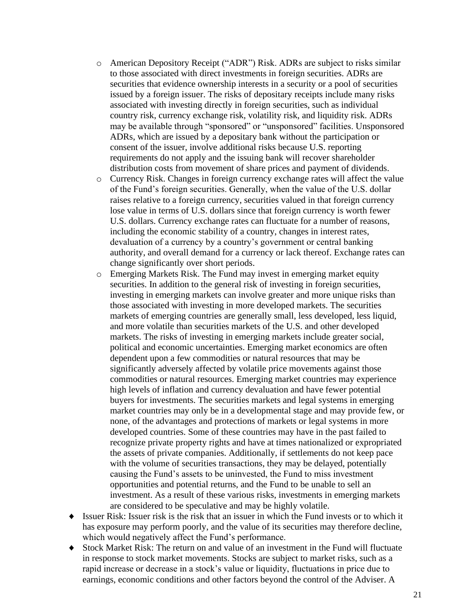- o American Depository Receipt ("ADR") Risk. ADRs are subject to risks similar to those associated with direct investments in foreign securities. ADRs are securities that evidence ownership interests in a security or a pool of securities issued by a foreign issuer. The risks of depositary receipts include many risks associated with investing directly in foreign securities, such as individual country risk, currency exchange risk, volatility risk, and liquidity risk. ADRs may be available through "sponsored" or "unsponsored" facilities. Unsponsored ADRs, which are issued by a depositary bank without the participation or consent of the issuer, involve additional risks because U.S. reporting requirements do not apply and the issuing bank will recover shareholder distribution costs from movement of share prices and payment of dividends.
- o Currency Risk. Changes in foreign currency exchange rates will affect the value of the Fund's foreign securities. Generally, when the value of the U.S. dollar raises relative to a foreign currency, securities valued in that foreign currency lose value in terms of U.S. dollars since that foreign currency is worth fewer U.S. dollars. Currency exchange rates can fluctuate for a number of reasons, including the economic stability of a country, changes in interest rates, devaluation of a currency by a country's government or central banking authority, and overall demand for a currency or lack thereof. Exchange rates can change significantly over short periods.
- o Emerging Markets Risk. The Fund may invest in emerging market equity securities. In addition to the general risk of investing in foreign securities, investing in emerging markets can involve greater and more unique risks than those associated with investing in more developed markets. The securities markets of emerging countries are generally small, less developed, less liquid, and more volatile than securities markets of the U.S. and other developed markets. The risks of investing in emerging markets include greater social, political and economic uncertainties. Emerging market economics are often dependent upon a few commodities or natural resources that may be significantly adversely affected by volatile price movements against those commodities or natural resources. Emerging market countries may experience high levels of inflation and currency devaluation and have fewer potential buyers for investments. The securities markets and legal systems in emerging market countries may only be in a developmental stage and may provide few, or none, of the advantages and protections of markets or legal systems in more developed countries. Some of these countries may have in the past failed to recognize private property rights and have at times nationalized or expropriated the assets of private companies. Additionally, if settlements do not keep pace with the volume of securities transactions, they may be delayed, potentially causing the Fund's assets to be uninvested, the Fund to miss investment opportunities and potential returns, and the Fund to be unable to sell an investment. As a result of these various risks, investments in emerging markets are considered to be speculative and may be highly volatile.
- $\bullet$  Issuer Risk: Issuer risk is the risk that an issuer in which the Fund invests or to which it has exposure may perform poorly, and the value of its securities may therefore decline, which would negatively affect the Fund's performance.
- ♦ Stock Market Risk: The return on and value of an investment in the Fund will fluctuate in response to stock market movements. Stocks are subject to market risks, such as a rapid increase or decrease in a stock's value or liquidity, fluctuations in price due to earnings, economic conditions and other factors beyond the control of the Adviser. A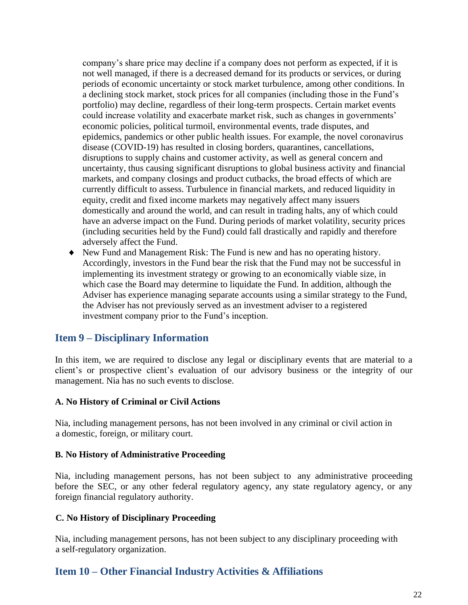company's share price may decline if a company does not perform as expected, if it is not well managed, if there is a decreased demand for its products or services, or during periods of economic uncertainty or stock market turbulence, among other conditions. In a declining stock market, stock prices for all companies (including those in the Fund's portfolio) may decline, regardless of their long-term prospects. Certain market events could increase volatility and exacerbate market risk, such as changes in governments' economic policies, political turmoil, environmental events, trade disputes, and epidemics, pandemics or other public health issues. For example, the novel coronavirus disease (COVID-19) has resulted in closing borders, quarantines, cancellations, disruptions to supply chains and customer activity, as well as general concern and uncertainty, thus causing significant disruptions to global business activity and financial markets, and company closings and product cutbacks, the broad effects of which are currently difficult to assess. Turbulence in financial markets, and reduced liquidity in equity, credit and fixed income markets may negatively affect many issuers domestically and around the world, and can result in trading halts, any of which could have an adverse impact on the Fund. During periods of market volatility, security prices (including securities held by the Fund) could fall drastically and rapidly and therefore adversely affect the Fund.

♦ New Fund and Management Risk: The Fund is new and has no operating history. Accordingly, investors in the Fund bear the risk that the Fund may not be successful in implementing its investment strategy or growing to an economically viable size, in which case the Board may determine to liquidate the Fund. In addition, although the Adviser has experience managing separate accounts using a similar strategy to the Fund, the Adviser has not previously served as an investment adviser to a registered investment company prior to the Fund's inception.

## <span id="page-21-0"></span>**Item 9 – Disciplinary Information**

In this item, we are required to disclose any legal or disciplinary events that are material to a client's or prospective client's evaluation of our advisory business or the integrity of our management. Nia has no such events to disclose.

## **A. No History of Criminal or Civil Actions**

Nia, including management persons, has not been involved in any criminal or civil action in a domestic, foreign, or military court.

## **B. No History of Administrative Proceeding**

Nia, including management persons, has not been subject to any administrative proceeding before the SEC, or any other federal regulatory agency, any state regulatory agency, or any foreign financial regulatory authority.

## **C. No History of Disciplinary Proceeding**

Nia, including management persons, has not been subject to any disciplinary proceeding with a self-regulatory organization.

## **Item 10 – Other Financial Industry Activities & Affiliations**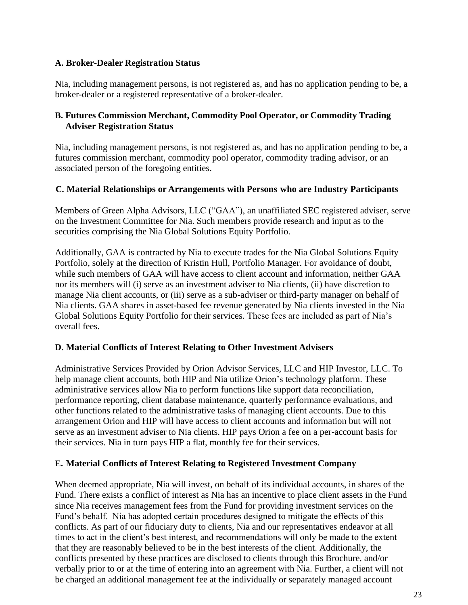## **A. Broker-Dealer Registration Status**

Nia, including management persons, is not registered as, and has no application pending to be, a broker-dealer or a registered representative of a broker-dealer.

## **B. Futures Commission Merchant, Commodity Pool Operator, or Commodity Trading Adviser Registration Status**

Nia, including management persons, is not registered as, and has no application pending to be, a futures commission merchant, commodity pool operator, commodity trading advisor, or an associated person of the foregoing entities.

## **C. Material Relationships or Arrangements with Persons who are Industry Participants**

Members of Green Alpha Advisors, LLC ("GAA"), an unaffiliated SEC registered adviser, serve on the Investment Committee for Nia. Such members provide research and input as to the securities comprising the Nia Global Solutions Equity Portfolio.

Additionally, GAA is contracted by Nia to execute trades for the Nia Global Solutions Equity Portfolio, solely at the direction of Kristin Hull, Portfolio Manager. For avoidance of doubt, while such members of GAA will have access to client account and information, neither GAA nor its members will (i) serve as an investment adviser to Nia clients, (ii) have discretion to manage Nia client accounts, or (iii) serve as a sub-adviser or third-party manager on behalf of Nia clients. GAA shares in asset-based fee revenue generated by Nia clients invested in the Nia Global Solutions Equity Portfolio for their services. These fees are included as part of Nia's overall fees.

## **D. Material Conflicts of Interest Relating to Other Investment Advisers**

Administrative Services Provided by Orion Advisor Services, LLC and HIP Investor, LLC. To help manage client accounts, both HIP and Nia utilize Orion's technology platform. These administrative services allow Nia to perform functions like support data reconciliation, performance reporting, client database maintenance, quarterly performance evaluations, and other functions related to the administrative tasks of managing client accounts. Due to this arrangement Orion and HIP will have access to client accounts and information but will not serve as an investment adviser to Nia clients. HIP pays Orion a fee on a per-account basis for their services. Nia in turn pays HIP a flat, monthly fee for their services.

## **E. Material Conflicts of Interest Relating to Registered Investment Company**

When deemed appropriate, Nia will invest, on behalf of its individual accounts, in shares of the Fund. There exists a conflict of interest as Nia has an incentive to place client assets in the Fund since Nia receives management fees from the Fund for providing investment services on the Fund's behalf. Nia has adopted certain procedures designed to mitigate the effects of this conflicts. As part of our fiduciary duty to clients, Nia and our representatives endeavor at all times to act in the client's best interest, and recommendations will only be made to the extent that they are reasonably believed to be in the best interests of the client. Additionally, the conflicts presented by these practices are disclosed to clients through this Brochure, and/or verbally prior to or at the time of entering into an agreement with Nia. Further, a client will not be charged an additional management fee at the individually or separately managed account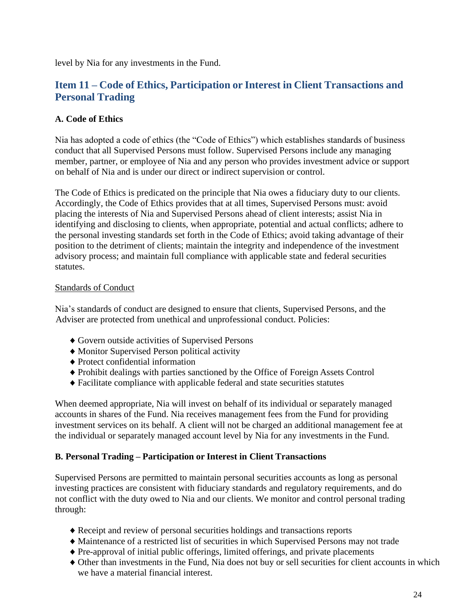level by Nia for any investments in the Fund.

# **Item 11 – Code of Ethics, Participation or Interest in Client Transactions and Personal Trading**

## **A. Code of Ethics**

Nia has adopted a code of ethics (the "Code of Ethics") which establishes standards of business conduct that all Supervised Persons must follow. Supervised Persons include any managing member, partner, or employee of Nia and any person who provides investment advice or support on behalf of Nia and is under our direct or indirect supervision or control.

The Code of Ethics is predicated on the principle that Nia owes a fiduciary duty to our clients. Accordingly, the Code of Ethics provides that at all times, Supervised Persons must: avoid placing the interests of Nia and Supervised Persons ahead of client interests; assist Nia in identifying and disclosing to clients, when appropriate, potential and actual conflicts; adhere to the personal investing standards set forth in the Code of Ethics; avoid taking advantage of their position to the detriment of clients; maintain the integrity and independence of the investment advisory process; and maintain full compliance with applicable state and federal securities statutes.

## Standards of Conduct

Nia's standards of conduct are designed to ensure that clients, Supervised Persons, and the Adviser are protected from unethical and unprofessional conduct. Policies:

- ♦ Govern outside activities of Supervised Persons
- ♦ Monitor Supervised Person political activity
- ♦ Protect confidential information
- ♦ Prohibit dealings with parties sanctioned by the Office of Foreign Assets Control
- ♦ Facilitate compliance with applicable federal and state securities statutes

When deemed appropriate, Nia will invest on behalf of its individual or separately managed accounts in shares of the Fund. Nia receives management fees from the Fund for providing investment services on its behalf. A client will not be charged an additional management fee at the individual or separately managed account level by Nia for any investments in the Fund.

## **B. Personal Trading – Participation or Interest in Client Transactions**

Supervised Persons are permitted to maintain personal securities accounts as long as personal investing practices are consistent with fiduciary standards and regulatory requirements, and do not conflict with the duty owed to Nia and our clients. We monitor and control personal trading through:

- ♦ Receipt and review of personal securities holdings and transactions reports
- ♦ Maintenance of a restricted list of securities in which Supervised Persons may not trade
- ♦ Pre-approval of initial public offerings, limited offerings, and private placements
- ♦ Other than investments in the Fund, Nia does not buy or sell securities for client accounts in which we have a material financial interest.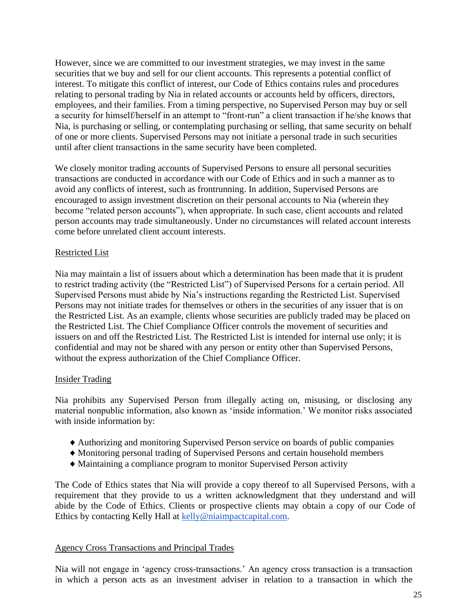However, since we are committed to our investment strategies, we may invest in the same securities that we buy and sell for our client accounts. This represents a potential conflict of interest. To mitigate this conflict of interest, our Code of Ethics contains rules and procedures relating to personal trading by Nia in related accounts or accounts held by officers, directors, employees, and their families. From a timing perspective, no Supervised Person may buy or sell a security for himself/herself in an attempt to "front-run" a client transaction if he/she knows that Nia, is purchasing or selling, or contemplating purchasing or selling, that same security on behalf of one or more clients. Supervised Persons may not initiate a personal trade in such securities until after client transactions in the same security have been completed.

We closely monitor trading accounts of Supervised Persons to ensure all personal securities transactions are conducted in accordance with our Code of Ethics and in such a manner as to avoid any conflicts of interest, such as frontrunning. In addition, Supervised Persons are encouraged to assign investment discretion on their personal accounts to Nia (wherein they become "related person accounts"), when appropriate. In such case, client accounts and related person accounts may trade simultaneously. Under no circumstances will related account interests come before unrelated client account interests.

## Restricted List

Nia may maintain a list of issuers about which a determination has been made that it is prudent to restrict trading activity (the "Restricted List") of Supervised Persons for a certain period. All Supervised Persons must abide by Nia's instructions regarding the Restricted List. Supervised Persons may not initiate trades for themselves or others in the securities of any issuer that is on the Restricted List. As an example, clients whose securities are publicly traded may be placed on the Restricted List. The Chief Compliance Officer controls the movement of securities and issuers on and off the Restricted List. The Restricted List is intended for internal use only; it is confidential and may not be shared with any person or entity other than Supervised Persons, without the express authorization of the Chief Compliance Officer.

#### Insider Trading

Nia prohibits any Supervised Person from illegally acting on, misusing, or disclosing any material nonpublic information, also known as 'inside information.' We monitor risks associated with inside information by:

- ♦ Authorizing and monitoring Supervised Person service on boards of public companies
- ♦ Monitoring personal trading of Supervised Persons and certain household members
- ♦ Maintaining a compliance program to monitor Supervised Person activity

The Code of Ethics states that Nia will provide a copy thereof to all Supervised Persons, with a requirement that they provide to us a written acknowledgment that they understand and will abide by the Code of Ethics. Clients or prospective clients may obtain a copy of our Code of Ethics by contacting Kelly Hall at [kelly@niaimpactcapital.com.](mailto:kelly@niaimpactadvisors.com)

#### Agency Cross Transactions and Principal Trades

Nia will not engage in 'agency cross-transactions.' An agency cross transaction is a transaction in which a person acts as an investment adviser in relation to a transaction in which the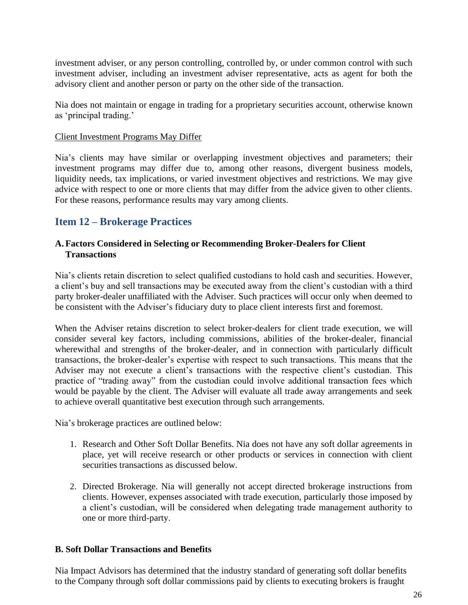investment adviser, or any person controlling, controlled by, or under common control with such investment adviser, including an investment adviser representative, acts as agent for both the advisory client and another person or party on the other side of the transaction.

Nia does not maintain or engage in trading for a proprietary securities account, otherwise known as 'principal trading.'

#### Client Investment Programs May Differ

Nia's clients may have similar or overlapping investment objectives and parameters; their investment programs may differ due to, among other reasons, divergent business models, liquidity needs, tax implications, or varied investment objectives and restrictions. We may give advice with respect to one or more clients that may differ from the advice given to other clients. For these reasons, performance results may vary among clients.

# <span id="page-25-0"></span>**Item 12 – Brokerage Practices**

## **A. Factors Considered in Selecting or Recommending Broker-Dealers for Client Transactions**

Nia's clients retain discretion to select qualified custodians to hold cash and securities. However, a client's buy and sell transactions may be executed away from the client's custodian with a third party broker-dealer unaffiliated with the Adviser. Such practices will occur only when deemed to be consistent with the Adviser's fiduciary duty to place client interests first and foremost.

When the Adviser retains discretion to select broker-dealers for client trade execution, we will consider several key factors, including commissions, abilities of the broker-dealer, financial wherewithal and strengths of the broker-dealer, and in connection with particularly difficult transactions, the broker-dealer's expertise with respect to such transactions. This means that the Adviser may not execute a client's transactions with the respective client's custodian. This practice of "trading away" from the custodian could involve additional transaction fees which would be payable by the client. The Adviser will evaluate all trade away arrangements and seek to achieve overall quantitative best execution through such arrangements.

Nia's brokerage practices are outlined below:

- 1. Research and Other Soft Dollar Benefits. Nia does not have any soft dollar agreements in place, yet will receive research or other products or services in connection with client securities transactions as discussed below.
- 2. Directed Brokerage. Nia will generally not accept directed brokerage instructions from clients. However, expenses associated with trade execution, particularly those imposed by a client's custodian, will be considered when delegating trade management authority to one or more third-party.

## **B. Soft Dollar Transactions and Benefits**

Nia Impact Advisors has determined that the industry standard of generating soft dollar benefits to the Company through soft dollar commissions paid by clients to executing brokers is fraught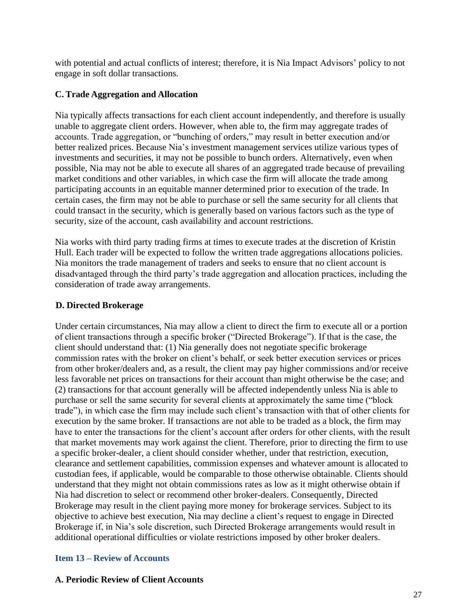with potential and actual conflicts of interest; therefore, it is Nia Impact Advisors' policy to not engage in soft dollar transactions.

#### **C. Trade Aggregation and Allocation**

Nia typically affects transactions for each client account independently, and therefore is usually unable to aggregate client orders. However, when able to, the firm may aggregate trades of accounts. Trade aggregation, or "bunching of orders," may result in better execution and/or better realized prices. Because Nia's investment management services utilize various types of investments and securities, it may not be possible to bunch orders. Alternatively, even when possible, Nia may not be able to execute all shares of an aggregated trade because of prevailing market conditions and other variables, in which case the firm will allocate the trade among participating accounts in an equitable manner determined prior to execution of the trade. In certain cases, the firm may not be able to purchase or sell the same security for all clients that could transact in the security, which is generally based on various factors such as the type of security, size of the account, cash availability and account restrictions.

Nia works with third party trading firms at times to execute trades at the discretion of Kristin Hull. Each trader will be expected to follow the written trade aggregations allocations policies. Nia monitors the trade management of traders and seeks to ensure that no client account is disadvantaged through the third party's trade aggregation and allocation practices, including the consideration of trade away arrangements.

#### **D. Directed Brokerage**

Under certain circumstances, Nia may allow a client to direct the firm to execute all or a portion of client transactions through a specific broker ("Directed Brokerage"). If that is the case, the client should understand that: (1) Nia generally does not negotiate specific brokerage commission rates with the broker on client's behalf, or seek better execution services or prices from other broker/dealers and, as a result, the client may pay higher commissions and/or receive less favorable net prices on transactions for their account than might otherwise be the case; and (2) transactions for that account generally will be affected independently unless Nia is able to purchase or sell the same security for several clients at approximately the same time ("block trade"), in which case the firm may include such client's transaction with that of other clients for execution by the same broker. If transactions are not able to be traded as a block, the firm may have to enter the transactions for the client's account after orders for other clients, with the result that market movements may work against the client. Therefore, prior to directing the firm to use a specific broker-dealer, a client should consider whether, under that restriction, execution, clearance and settlement capabilities, commission expenses and whatever amount is allocated to custodian fees, if applicable, would be comparable to those otherwise obtainable. Clients should understand that they might not obtain commissions rates as low as it might otherwise obtain if Nia had discretion to select or recommend other broker-dealers. Consequently, Directed Brokerage may result in the client paying more money for brokerage services. Subject to its objective to achieve best execution, Nia may decline a client's request to engage in Directed Brokerage if, in Nia's sole discretion, such Directed Brokerage arrangements would result in additional operational difficulties or violate restrictions imposed by other broker dealers.

## <span id="page-26-0"></span>**Item 13 – Review of Accounts**

#### **A. Periodic Review of Client Accounts**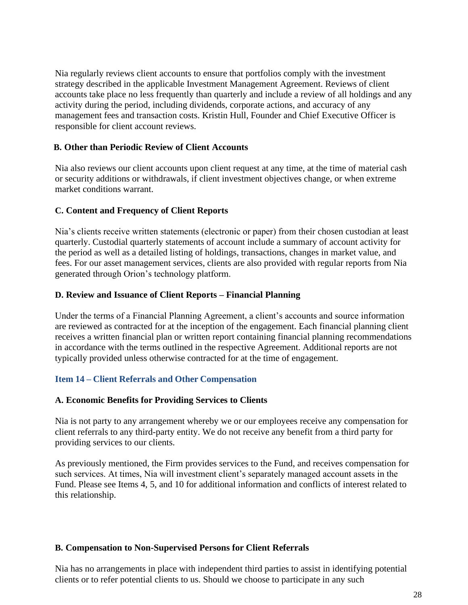Nia regularly reviews client accounts to ensure that portfolios comply with the investment strategy described in the applicable Investment Management Agreement. Reviews of client accounts take place no less frequently than quarterly and include a review of all holdings and any activity during the period, including dividends, corporate actions, and accuracy of any management fees and transaction costs. Kristin Hull, Founder and Chief Executive Officer is responsible for client account reviews.

## **B. Other than Periodic Review of Client Accounts**

Nia also reviews our client accounts upon client request at any time, at the time of material cash or security additions or withdrawals, if client investment objectives change, or when extreme market conditions warrant.

## **C. Content and Frequency of Client Reports**

Nia's clients receive written statements (electronic or paper) from their chosen custodian at least quarterly. Custodial quarterly statements of account include a summary of account activity for the period as well as a detailed listing of holdings, transactions, changes in market value, and fees. For our asset management services, clients are also provided with regular reports from Nia generated through Orion's technology platform.

## **D. Review and Issuance of Client Reports – Financial Planning**

Under the terms of a Financial Planning Agreement, a client's accounts and source information are reviewed as contracted for at the inception of the engagement. Each financial planning client receives a written financial plan or written report containing financial planning recommendations in accordance with the terms outlined in the respective Agreement. Additional reports are not typically provided unless otherwise contracted for at the time of engagement.

## <span id="page-27-0"></span>**Item 14 – Client Referrals and Other Compensation**

## **A. Economic Benefits for Providing Services to Clients**

Nia is not party to any arrangement whereby we or our employees receive any compensation for client referrals to any third-party entity. We do not receive any benefit from a third party for providing services to our clients.

As previously mentioned, the Firm provides services to the Fund, and receives compensation for such services. At times, Nia will investment client's separately managed account assets in the Fund. Please see Items 4, 5, and 10 for additional information and conflicts of interest related to this relationship.

#### **B. Compensation to Non-Supervised Persons for Client Referrals**

Nia has no arrangements in place with independent third parties to assist in identifying potential clients or to refer potential clients to us. Should we choose to participate in any such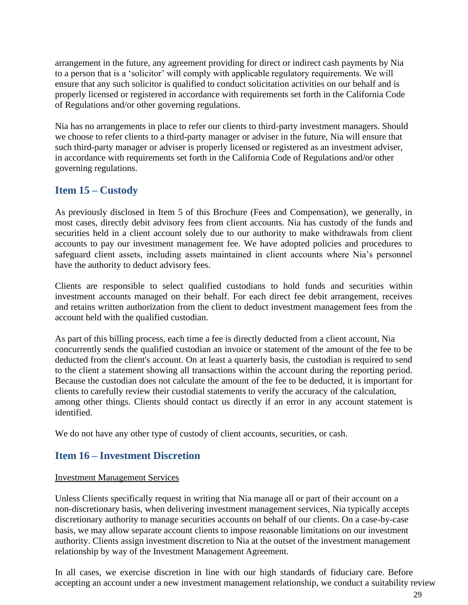arrangement in the future, any agreement providing for direct or indirect cash payments by Nia to a person that is a 'solicitor' will comply with applicable regulatory requirements. We will ensure that any such solicitor is qualified to conduct solicitation activities on our behalf and is properly licensed or registered in accordance with requirements set forth in the California Code of Regulations and/or other governing regulations.

Nia has no arrangements in place to refer our clients to third-party investment managers. Should we choose to refer clients to a third-party manager or adviser in the future, Nia will ensure that such third-party manager or adviser is properly licensed or registered as an investment adviser, in accordance with requirements set forth in the California Code of Regulations and/or other governing regulations.

# <span id="page-28-0"></span>**Item 15 – Custody**

As previously disclosed in Item 5 of this Brochure (Fees and Compensation), we generally, in most cases, directly debit advisory fees from client accounts. Nia has custody of the funds and securities held in a client account solely due to our authority to make withdrawals from client accounts to pay our investment management fee. We have adopted policies and procedures to safeguard client assets, including assets maintained in client accounts where Nia's personnel have the authority to deduct advisory fees.

Clients are responsible to select qualified custodians to hold funds and securities within investment accounts managed on their behalf. For each direct fee debit arrangement, receives and retains written authorization from the client to deduct investment management fees from the account held with the qualified custodian.

As part of this billing process, each time a fee is directly deducted from a client account, Nia concurrently sends the qualified custodian an invoice or statement of the amount of the fee to be deducted from the client's account. On at least a quarterly basis, the custodian is required to send to the client a statement showing all transactions within the account during the reporting period. Because the custodian does not calculate the amount of the fee to be deducted, it is important for clients to carefully review their custodial statements to verify the accuracy of the calculation, among other things. Clients should contact us directly if an error in any account statement is identified.

We do not have any other type of custody of client accounts, securities, or cash.

## <span id="page-28-1"></span>**Item 16 – Investment Discretion**

## Investment Management Services

Unless Clients specifically request in writing that Nia manage all or part of their account on a non-discretionary basis, when delivering investment management services, Nia typically accepts discretionary authority to manage securities accounts on behalf of our clients. On a case-by-case basis, we may allow separate account clients to impose reasonable limitations on our investment authority. Clients assign investment discretion to Nia at the outset of the investment management relationship by way of the Investment Management Agreement.

In all cases, we exercise discretion in line with our high standards of fiduciary care. Before accepting an account under a new investment management relationship, we conduct a suitability review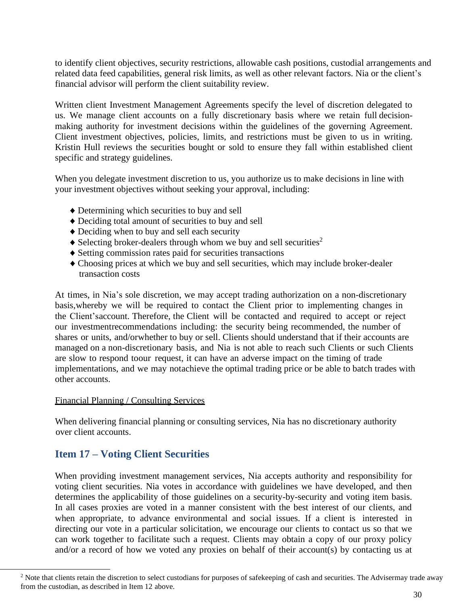to identify client objectives, security restrictions, allowable cash positions, custodial arrangements and related data feed capabilities, general risk limits, as well as other relevant factors. Nia or the client's financial advisor will perform the client suitability review.

Written client Investment Management Agreements specify the level of discretion delegated to us. We manage client accounts on a fully discretionary basis where we retain full decisionmaking authority for investment decisions within the guidelines of the governing Agreement. Client investment objectives, policies, limits, and restrictions must be given to us in writing. Kristin Hull reviews the securities bought or sold to ensure they fall within established client specific and strategy guidelines.

When you delegate investment discretion to us, you authorize us to make decisions in line with your investment objectives without seeking your approval, including:

- ♦ Determining which securities to buy and sell
- ♦ Deciding total amount of securities to buy and sell
- ♦ Deciding when to buy and sell each security
- $\blacklozenge$  Selecting broker-dealers through whom we buy and sell securities<sup>2</sup>
- ♦ Setting commission rates paid for securities transactions
- ♦ Choosing prices at which we buy and sell securities, which may include broker-dealer transaction costs

At times, in Nia's sole discretion, we may accept trading authorization on a non-discretionary basis,whereby we will be required to contact the Client prior to implementing changes in the Client'saccount. Therefore, the Client will be contacted and required to accept or reject our investmentrecommendations including: the security being recommended, the number of shares or units, and/orwhether to buy or sell. Clients should understand that if their accounts are managed on a non-discretionary basis, and Nia is not able to reach such Clients or such Clients are slow to respond toour request, it can have an adverse impact on the timing of trade implementations, and we may notachieve the optimal trading price or be able to batch trades with other accounts.

## Financial Planning / Consulting Services

<span id="page-29-0"></span>When delivering financial planning or consulting services, Nia has no discretionary authority over client accounts.

# **Item 17 – Voting Client Securities**

When providing investment management services, Nia accepts authority and responsibility for voting client securities. Nia votes in accordance with guidelines we have developed, and then determines the applicability of those guidelines on a security-by-security and voting item basis. In all cases proxies are voted in a manner consistent with the best interest of our clients, and when appropriate, to advance environmental and social issues. If a client is interested in directing our vote in a particular solicitation, we encourage our clients to contact us so that we can work together to facilitate such a request. Clients may obtain a copy of our proxy policy and/or a record of how we voted any proxies on behalf of their account(s) by contacting us at

<sup>&</sup>lt;sup>2</sup> Note that clients retain the discretion to select custodians for purposes of safekeeping of cash and securities. The Advisermay trade away from the custodian, as described in Item 12 above.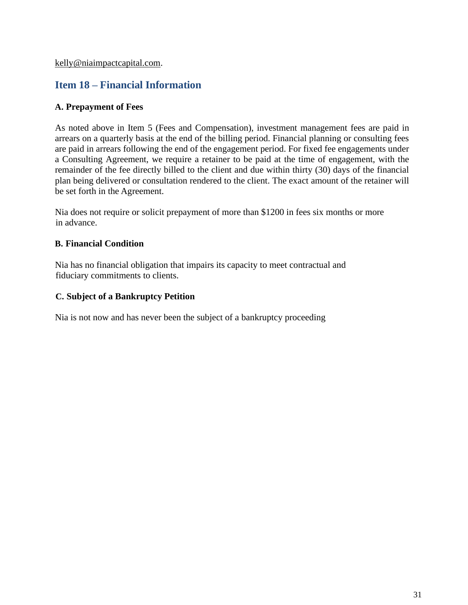[kelly@niaimpactcapital.com.](mailto:kelly@niaimpactcapital.com)

# <span id="page-30-0"></span>**Item 18 – Financial Information**

## **A. Prepayment of Fees**

As noted above in Item 5 (Fees and Compensation), investment management fees are paid in arrears on a quarterly basis at the end of the billing period. Financial planning or consulting fees are paid in arrears following the end of the engagement period. For fixed fee engagements under a Consulting Agreement, we require a retainer to be paid at the time of engagement, with the remainder of the fee directly billed to the client and due within thirty (30) days of the financial plan being delivered or consultation rendered to the client. The exact amount of the retainer will be set forth in the Agreement.

Nia does not require or solicit prepayment of more than \$1200 in fees six months or more in advance.

## **B. Financial Condition**

Nia has no financial obligation that impairs its capacity to meet contractual and fiduciary commitments to clients.

## **C. Subject of a Bankruptcy Petition**

Nia is not now and has never been the subject of a bankruptcy proceeding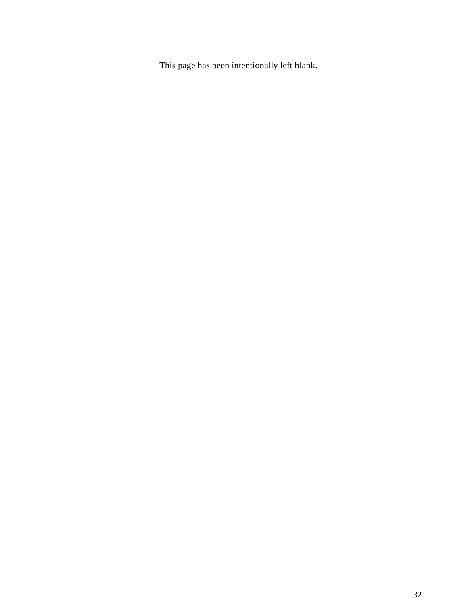This page has been intentionally left blank.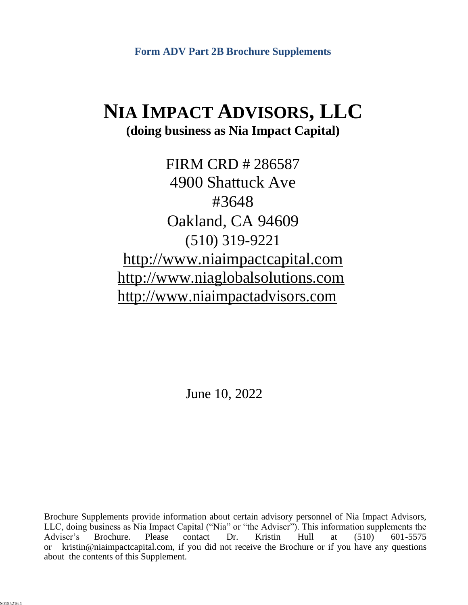**Form ADV Part 2B Brochure Supplements**

# **NIA IMPACT ADVISORS, LLC**

**(doing business as Nia Impact Capital)**

FIRM CRD # 286587 4900 Shattuck Ave #3648 Oakland, CA 94609 (510) 319-9221 [http://www.niaimpactcapital.com](http://www.niaimpactcapital.com/) [http://www.niaglobalsolutions.com](http://www.niaglobalsolutions.com/) [http://www.niaimpactadvisors.com](http://www.niaimpactadvisors.com/)

June 10, 2022

Brochure Supplements provide information about certain advisory personnel of Nia Impact Advisors, LLC, doing business as Nia Impact Capital ("Nia" or "the Adviser"). This information supplements the Adviser's Brochure. Please contact Dr. Kristin Hull at (510) 601-5575 or [kristin@niaimpactcapital.com,](mailto:kristin@niaimpactcapital.com) if you did not receive the Brochure or if you have any questions about the contents of this Supplement.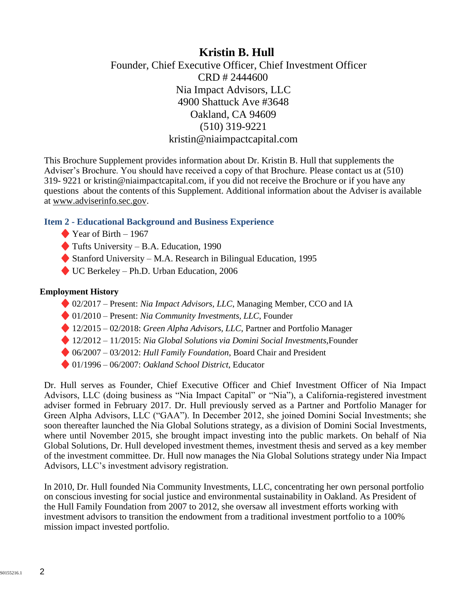# **Kristin B. Hull**

Founder, Chief Executive Officer, Chief Investment Officer CRD # 2444600 Nia Impact Advisors, LLC 4900 Shattuck Ave #3648 Oakland, CA 94609 (510) 319-9221 [kristin@niaimpactcapital.com](mailto:kristin@niaimpactcapital.com)

This Brochure Supplement provides information about Dr. Kristin B. Hull that supplements the Adviser's Brochure. You should have received a copy of that Brochure. Please contact us at (510) 319- 9221 or [kristin@niaimpactcapital.com,](mailto:kristin@niaimpactcapital.com) if you did not receive the Brochure or if you have any questions about the contents of this Supplement. Additional information about the Adviser is available at [www.adviserinfo.sec.gov.](http://www.adviserinfo.sec.gov/)

## **Item 2 - Educational Background and Business Experience**

- $\blacktriangleright$  Year of Birth 1967
- Tufts University B.A. Education, 1990
- Stanford University M.A. Research in Bilingual Education, 1995
- UC Berkeley Ph.D. Urban Education, 2006

## **Employment History**

- 02/2017 Present: *Nia Impact Advisors, LLC*, Managing Member, CCO and IA
- 01/2010 Present: *Nia Community Investments, LLC*, Founder
- 12/2015 02/2018: *Green Alpha Advisors, LLC*, Partner and Portfolio Manager
- 12/2012 11/2015: *Nia Global Solutions via Domini Social Investments*,Founder
- 06/2007 03/2012: *Hull Family Foundation*, Board Chair and President
- 01/1996 06/2007: *Oakland School District*, Educator

Dr. Hull serves as Founder, Chief Executive Officer and Chief Investment Officer of Nia Impact Advisors, LLC (doing business as "Nia Impact Capital" or "Nia"), a California-registered investment adviser formed in February 2017. Dr. Hull previously served as a Partner and Portfolio Manager for Green Alpha Advisors, LLC ("GAA"). In December 2012, she joined Domini Social Investments; she soon thereafter launched the Nia Global Solutions strategy, as a division of Domini Social Investments, where until November 2015, she brought impact investing into the public markets. On behalf of Nia Global Solutions, Dr. Hull developed investment themes, investment thesis and served as a key member of the investment committee. Dr. Hull now manages the Nia Global Solutions strategy under Nia Impact Advisors, LLC's investment advisory registration.

In 2010, Dr. Hull founded Nia Community Investments, LLC, concentrating her own personal portfolio on conscious investing for social justice and environmental sustainability in Oakland. As President of the Hull Family Foundation from 2007 to 2012, she oversaw all investment efforts working with investment advisors to transition the endowment from a traditional investment portfolio to a 100% mission impact invested portfolio.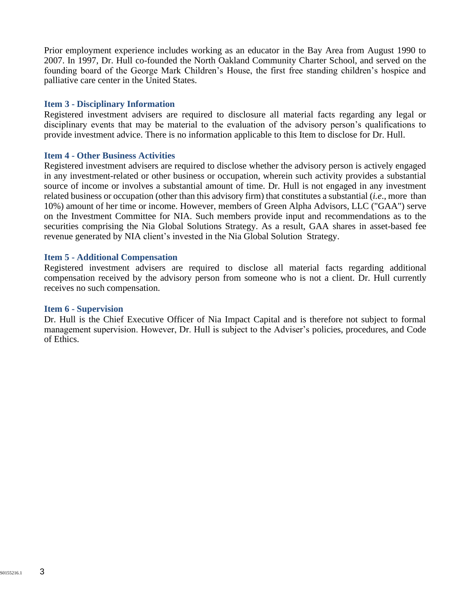Prior employment experience includes working as an educator in the Bay Area from August 1990 to 2007. In 1997, Dr. Hull co-founded the North Oakland Community Charter School, and served on the founding board of the George Mark Children's House, the first free standing children's hospice and palliative care center in the United States.

#### **Item 3 - Disciplinary Information**

Registered investment advisers are required to disclosure all material facts regarding any legal or disciplinary events that may be material to the evaluation of the advisory person's qualifications to provide investment advice. There is no information applicable to this Item to disclose for Dr. Hull.

#### **Item 4 - Other Business Activities**

Registered investment advisers are required to disclose whether the advisory person is actively engaged in any investment-related or other business or occupation, wherein such activity provides a substantial source of income or involves a substantial amount of time. Dr. Hull is not engaged in any investment related business or occupation (other than this advisory firm) that constitutes a substantial (*i.e*., more than 10%) amount of her time or income. However, members of Green Alpha Advisors, LLC ("GAA") serve on the Investment Committee for NIA. Such members provide input and recommendations as to the securities comprising the Nia Global Solutions Strategy. As a result, GAA shares in asset-based fee revenue generated by NIA client's invested in the Nia Global Solution Strategy.

#### **Item 5 - Additional Compensation**

Registered investment advisers are required to disclose all material facts regarding additional compensation received by the advisory person from someone who is not a client. Dr. Hull currently receives no such compensation.

#### **Item 6 - Supervision**

Dr. Hull is the Chief Executive Officer of Nia Impact Capital and is therefore not subject to formal management supervision. However, Dr. Hull is subject to the Adviser's policies, procedures, and Code of Ethics.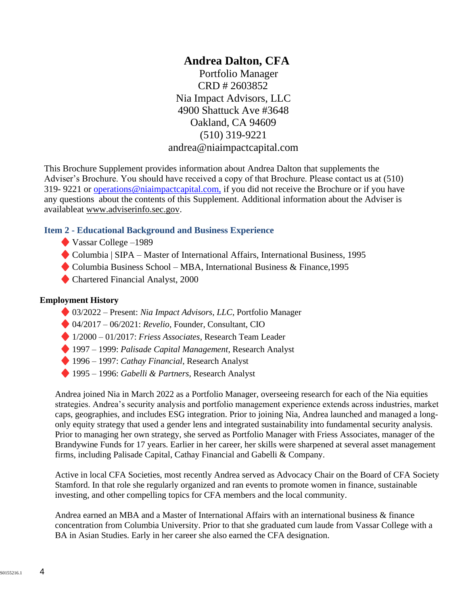# **Andrea Dalton, CFA**

Portfolio Manager CRD # 2603852 Nia Impact Advisors, LLC 4900 Shattuck Ave #3648 Oakland, CA 94609 (510) 319-9221 [andrea@niaimpactcapital.com](mailto:kristin@niaimpactcapital.com)

This Brochure Supplement provides information about Andrea Dalton that supplements the Adviser's Brochure. You should have received a copy of that Brochure. Please contact us at (510) 319- 9221 or [operations@niaimpactcapital.com,](mailto:operations@niaimpactcapital.com,) if you did not receive the Brochure or if you have any questions about the contents of this Supplement. Additional information about the Adviser is availableat [www.adviserinfo.sec.gov.](http://www.adviserinfo.sec.gov/)

## **Item 2 - Educational Background and Business Experience**

- Vassar College –1989
- Columbia | SIPA Master of International Affairs, International Business, 1995
- Columbia Business School MBA, International Business & Finance,1995
- Chartered Financial Analyst, 2000

#### **Employment History**

- 03/2022 Present: *Nia Impact Advisors, LLC*, Portfolio Manager
- 04/2017 06/2021: *Revelio*, Founder, Consultant, CIO
- 1/2000 01/2017: *Friess Associates*, Research Team Leader
- 1997 1999: *Palisade Capital Management*, Research Analyst
- 1996 1997: *Cathay Financial*, Research Analyst
- 1995 1996: *Gabelli & Partners*, Research Analyst

Andrea joined Nia in March 2022 as a Portfolio Manager, overseeing research for each of the Nia equities strategies. Andrea's security analysis and portfolio management experience extends across industries, market caps, geographies, and includes ESG integration. Prior to joining Nia, Andrea launched and managed a longonly equity strategy that used a gender lens and integrated sustainability into fundamental security analysis. Prior to managing her own strategy, she served as Portfolio Manager with Friess Associates, manager of the Brandywine Funds for 17 years. Earlier in her career, her skills were sharpened at several asset management firms, including Palisade Capital, Cathay Financial and Gabelli & Company.

Active in local CFA Societies, most recently Andrea served as Advocacy Chair on the Board of CFA Society Stamford. In that role she regularly organized and ran events to promote women in finance, sustainable investing, and other compelling topics for CFA members and the local community.

Andrea earned an MBA and a Master of International Affairs with an international business & finance concentration from Columbia University. Prior to that she graduated cum laude from Vassar College with a BA in Asian Studies. Early in her career she also earned the CFA designation.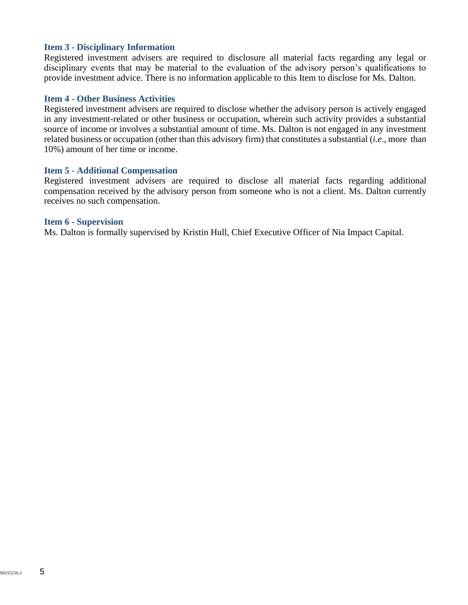#### **Item 3 - Disciplinary Information**

Registered investment advisers are required to disclosure all material facts regarding any legal or disciplinary events that may be material to the evaluation of the advisory person's qualifications to provide investment advice. There is no information applicable to this Item to disclose for Ms. Dalton.

#### **Item 4 - Other Business Activities**

Registered investment advisers are required to disclose whether the advisory person is actively engaged in any investment-related or other business or occupation, wherein such activity provides a substantial source of income or involves a substantial amount of time. Ms. Dalton is not engaged in any investment related business or occupation (other than this advisory firm) that constitutes a substantial (*i.e*., more than 10%) amount of her time or income.

#### **Item 5 - Additional Compensation**

Registered investment advisers are required to disclose all material facts regarding additional compensation received by the advisory person from someone who is not a client. Ms. Dalton currently receives no such compensation.

#### **Item 6 - Supervision**

Ms. Dalton is formally supervised by Kristin Hull, Chief Executive Officer of Nia Impact Capital.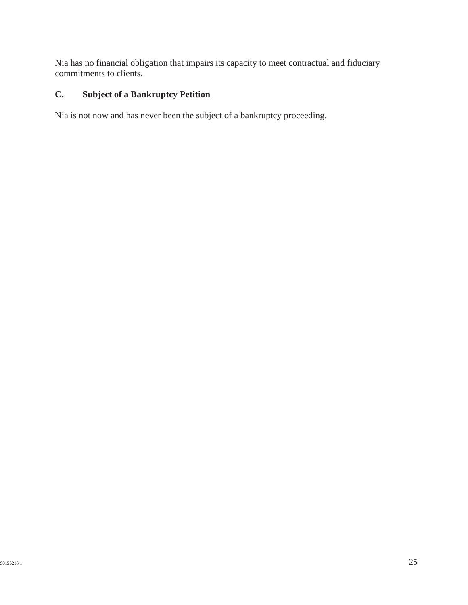Nia has no financial obligation that impairs its capacity to meet contractual and fiduciary commitments to clients.

# **C. Subject of a Bankruptcy Petition**

Nia is not now and has never been the subject of a bankruptcy proceeding.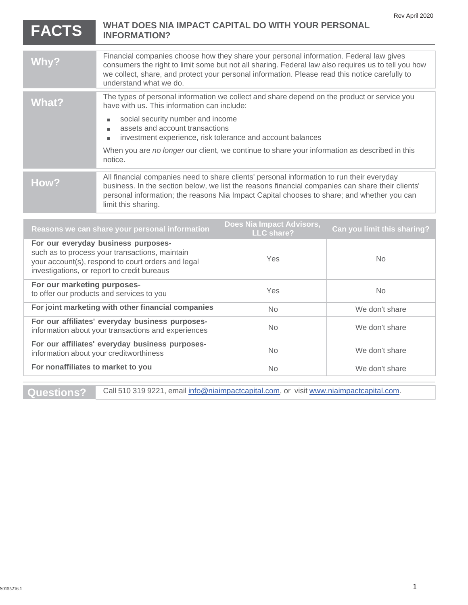#### **WHAT DOES NIA IMPACT CAPITAL DO WITH YOUR PERSONAL INFORMATION? FACTS**

| Why?                                                                                                                                                                                       | Financial companies choose how they share your personal information. Federal law gives<br>consumers the right to limit some but not all sharing. Federal law also requires us to tell you how<br>we collect, share, and protect your personal information. Please read this notice carefully to<br>understand what we do. |                                                            |     |
|--------------------------------------------------------------------------------------------------------------------------------------------------------------------------------------------|---------------------------------------------------------------------------------------------------------------------------------------------------------------------------------------------------------------------------------------------------------------------------------------------------------------------------|------------------------------------------------------------|-----|
| <b>What?</b>                                                                                                                                                                               | The types of personal information we collect and share depend on the product or service you<br>have with us. This information can include:                                                                                                                                                                                |                                                            |     |
|                                                                                                                                                                                            | social security number and income<br>assets and account transactions<br>٠<br>٠                                                                                                                                                                                                                                            | investment experience, risk tolerance and account balances |     |
|                                                                                                                                                                                            | When you are no longer our client, we continue to share your information as described in this<br>notice.                                                                                                                                                                                                                  |                                                            |     |
| How?                                                                                                                                                                                       | All financial companies need to share clients' personal information to run their everyday<br>business. In the section below, we list the reasons financial companies can share their clients'<br>personal information; the reasons Nia Impact Capital chooses to share; and whether you can<br>limit this sharing.        |                                                            |     |
| <b>Does Nia Impact Advisors,</b><br>Reasons we can share your personal information<br>Can you limit this sharing?<br>LLC share?                                                            |                                                                                                                                                                                                                                                                                                                           |                                                            |     |
| For our everyday business purposes-<br>such as to process your transactions, maintain<br>your account(s), respond to court orders and legal<br>investigations, or report to credit bureaus |                                                                                                                                                                                                                                                                                                                           | Yes                                                        | No. |

to offer our products and services to you Yes No

**For joint marketing with other financial companies** No No We don't share

information about your transactions and experiences No No We don't share

information about your creditworthiness  $\mu$  posses No No We don't share

**For nonaffiliates to market to you**<br> **Example 20 No We don't share** 

**For our marketing purposes-**

**For our affiliates' everyday business purposes-**

**For our affiliates' everyday business purposes-**

Questions? Call 510 319 9221, email [info@niaimpactcapital.com,](mailto:info@niaimpactcapital.com) or visit [www.niaimpactcapital.com.](http://www.niaimpactcapital.com/)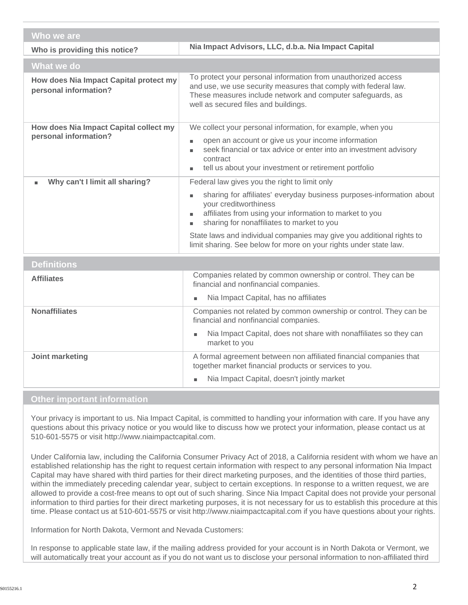| Who we are                                                      |                                                                                                                                                                                                                                        |  |
|-----------------------------------------------------------------|----------------------------------------------------------------------------------------------------------------------------------------------------------------------------------------------------------------------------------------|--|
| Who is providing this notice?                                   | Nia Impact Advisors, LLC, d.b.a. Nia Impact Capital                                                                                                                                                                                    |  |
| What we do                                                      |                                                                                                                                                                                                                                        |  |
| How does Nia Impact Capital protect my<br>personal information? | To protect your personal information from unauthorized access<br>and use, we use security measures that comply with federal law.<br>These measures include network and computer safeguards, as<br>well as secured files and buildings. |  |
| How does Nia Impact Capital collect my                          | We collect your personal information, for example, when you                                                                                                                                                                            |  |
| personal information?                                           | open an account or give us your income information<br>seek financial or tax advice or enter into an investment advisory<br>٠<br>contract<br>tell us about your investment or retirement portfolio                                      |  |
| Why can't I limit all sharing?                                  | Federal law gives you the right to limit only                                                                                                                                                                                          |  |
|                                                                 | sharing for affiliates' everyday business purposes-information about<br>٠<br>your creditworthiness<br>affiliates from using your information to market to you<br>sharing for nonaffiliates to market to you                            |  |
|                                                                 | State laws and individual companies may give you additional rights to<br>limit sharing. See below for more on your rights under state law.                                                                                             |  |
| <b>Definitions</b>                                              |                                                                                                                                                                                                                                        |  |
| <b>Affiliates</b>                                               | Companies related by common ownership or control. They can be<br>financial and nonfinancial companies.                                                                                                                                 |  |
|                                                                 | Nia Impact Capital, has no affiliates                                                                                                                                                                                                  |  |
| <b>Nonaffiliates</b>                                            | Companies not related by common ownership or control. They can be<br>financial and nonfinancial companies.                                                                                                                             |  |
|                                                                 | Nia Impact Capital, does not share with nonaffiliates so they can<br>market to you                                                                                                                                                     |  |
| Joint marketing                                                 | A formal agreement between non affiliated financial companies that<br>together market financial products or services to you.                                                                                                           |  |
|                                                                 | Nia Impact Capital, doesn't jointly market<br>٠                                                                                                                                                                                        |  |

#### **Other important information**

Your privacy is important to us. Nia Impact Capital, is committed to handling your information with care. If you have any questions about this privacy notice or you would like to discuss how we protect your information, please contact us at 510-601-5575 or visit [http://www.niaimpactcapital.com.](http://www.niaimpactcapital.com/)

Under California law, including the California Consumer Privacy Act of 2018, a California resident with whom we have an established relationship has the right to request certain information with respect to any personal information Nia Impact Capital may have shared with third parties for their direct marketing purposes, and the identities of those third parties, within the immediately preceding calendar year, subject to certain exceptions. In response to a written request, we are allowed to provide a cost-free means to opt out of such sharing. Since Nia Impact Capital does not provide your personal information to third parties for their direct marketing purposes, it is not necessary for us to establish this procedure at this time. Please contact us at 510-601-5575 or visit [http://www.niaimpactcapital.com](http://www.niaimpactcapital.com/) if you have questions about your rights.

Information for North Dakota, Vermont and Nevada Customers:

In response to applicable state law, if the mailing address provided for your account is in North Dakota or Vermont, we will automatically treat your account as if you do not want us to disclose your personal information to non-affiliated third